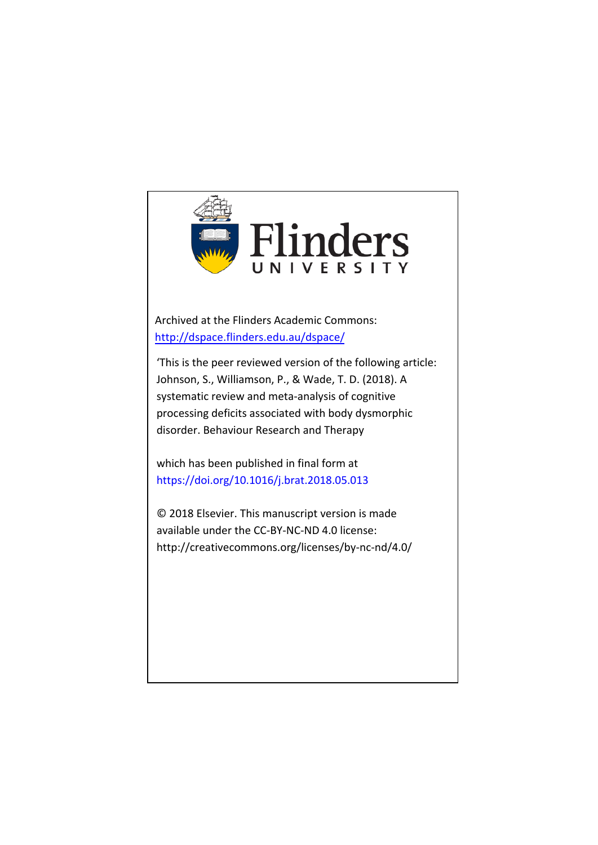

Archived at the Flinders Academic Commons: <http://dspace.flinders.edu.au/dspace/>

'This is the peer reviewed version of the following article: Johnson, S., Williamson, P., & Wade, T. D. (2018). A systematic review and meta-analysis of cognitive processing deficits associated with body dysmorphic disorder. Behaviour Research and Therapy

which has been published in final form at https://doi.org/10.1016/j.brat.2018.05.013

© 2018 Elsevier. This manuscript version is made available under the CC-BY-NC-ND 4.0 license: http://creativecommons.org/licenses/by-nc-nd/4.0/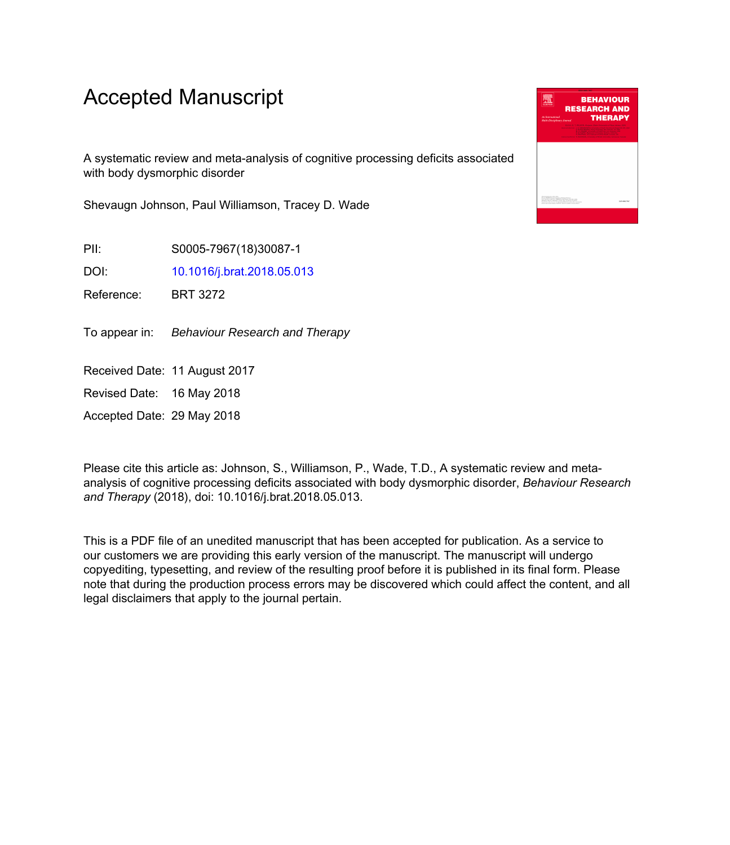# Accepted Manuscript

A systematic review and meta-analysis of cognitive processing deficits associated with body dysmorphic disorder

Shevaugn Johnson, Paul Williamson, Tracey D. Wade

PII: S0005-7967(18)30087-1

DOI: [10.1016/j.brat.2018.05.013](https://doi.org/10.1016/j.brat.2018.05.013)

Reference: BRT 3272

To appear in: Behaviour Research and Therapy

Received Date: 11 August 2017

Revised Date: 16 May 2018

Accepted Date: 29 May 2018

Please cite this article as: Johnson, S., Williamson, P., Wade, T.D., A systematic review and metaanalysis of cognitive processing deficits associated with body dysmorphic disorder, *Behaviour Research and Therapy* (2018), doi: 10.1016/j.brat.2018.05.013.

This is a PDF file of an unedited manuscript that has been accepted for publication. As a service to our customers we are providing this early version of the manuscript. The manuscript will undergo copyediting, typesetting, and review of the resulting proof before it is published in its final form. Please note that during the production process errors may be discovered which could affect the content, and all legal disclaimers that apply to the journal pertain.

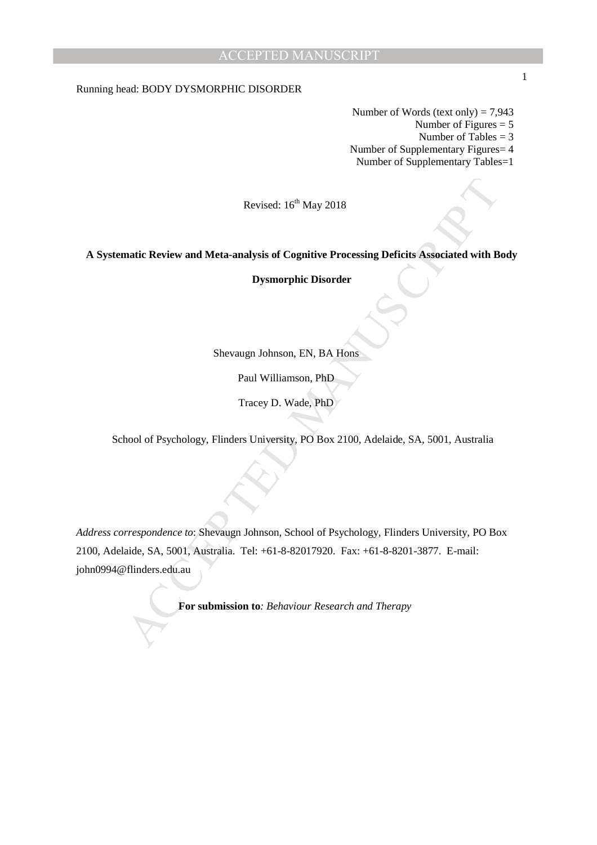Running head: BODY DYSMORPHIC DISORDER

Number of Words (text only)  $= 7,943$ Number of Figures = 5 Number of Tables = 3 Number of Supplementary Figures= 4 Number of Supplementary Tables=1

Revised: 16<sup>th</sup> May 2018

**A Systematic Review and Meta-analysis of Cognitive Processing Deficits Associated with Body** 

**Dysmorphic Disorder** 

Shevaugn Johnson, EN, BA Hons

Paul Williamson, PhD

Tracey D. Wade, PhD

School of Psychology, Flinders University, PO Box 2100, Adelaide, SA, 5001, Australia

Revised:  $16^{\circ}$  May 2018<br>
matic Review and Meta-analysis of Cognitive Processing Deficits Associated with B<br>
Dysmorphic Disorder<br>
Shevangn Johnson, F.N, BA Hons<br>
Paul Williamson, PhD<br>
Tracey D. Wade, PhD<br>
Mool of Psycho *Address correspondence to*: Shevaugn Johnson, School of Psychology, Flinders University, PO Box 2100, Adelaide, SA, 5001, Australia. Tel: +61-8-82017920. Fax: +61-8-8201-3877. E-mail: john0994@flinders.edu.au

**For submission to***: Behaviour Research and Therapy* 

1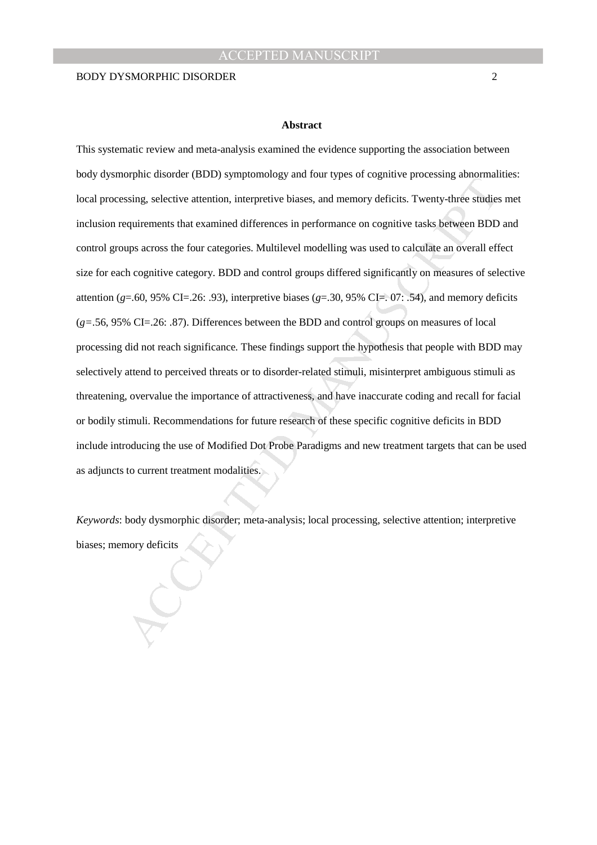#### **Abstract**

by photon can be the transmister (*n.m.*), symptomatology and rotat sylens of expansive processing and<br>primary selective attention, interpretive biases, and memory deficits. Twenty-three studies<br>equirements that examined This systematic review and meta-analysis examined the evidence supporting the association between body dysmorphic disorder (BDD) symptomology and four types of cognitive processing abnormalities: local processing, selective attention, interpretive biases, and memory deficits. Twenty-three studies met inclusion requirements that examined differences in performance on cognitive tasks between BDD and control groups across the four categories. Multilevel modelling was used to calculate an overall effect size for each cognitive category. BDD and control groups differed significantly on measures of selective attention ( $g$ =.60, 95% CI=.26: .93), interpretive biases ( $g$ =.30, 95% CI=. 07: .54), and memory deficits (*g=*.56, 95% CI=.26: .87). Differences between the BDD and control groups on measures of local processing did not reach significance. These findings support the hypothesis that people with BDD may selectively attend to perceived threats or to disorder-related stimuli, misinterpret ambiguous stimuli as threatening, overvalue the importance of attractiveness, and have inaccurate coding and recall for facial or bodily stimuli. Recommendations for future research of these specific cognitive deficits in BDD include introducing the use of Modified Dot Probe Paradigms and new treatment targets that can be used as adjuncts to current treatment modalities.

*Keywords*: body dysmorphic disorder; meta-analysis; local processing, selective attention; interpretive biases; memory deficits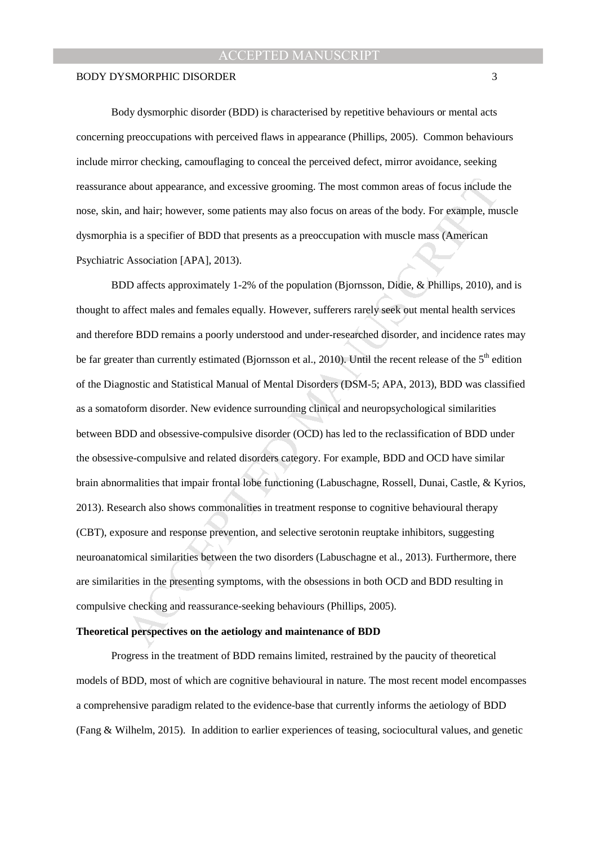Body dysmorphic disorder (BDD) is characterised by repetitive behaviours or mental acts concerning preoccupations with perceived flaws in appearance (Phillips, 2005). Common behaviours include mirror checking, camouflaging to conceal the perceived defect, mirror avoidance, seeking reassurance about appearance, and excessive grooming. The most common areas of focus include the nose, skin, and hair; however, some patients may also focus on areas of the body. For example, muscle dysmorphia is a specifier of BDD that presents as a preoccupation with muscle mass (American Psychiatric Association [APA], 2013).

a about appearance, and excessive grooming. The most common areas of focus include t<br>and hair; however, some patients may also focus on areas of the body. For example, ma<br>is a specifier of BDD that presents as a preoccupat BDD affects approximately 1-2% of the population (Bjornsson, Didie, & Phillips, 2010), and is thought to affect males and females equally. However, sufferers rarely seek out mental health services and therefore BDD remains a poorly understood and under-researched disorder, and incidence rates may be far greater than currently estimated (Bjornsson et al., 2010). Until the recent release of the  $5<sup>th</sup>$  edition of the Diagnostic and Statistical Manual of Mental Disorders (DSM-5; APA, 2013), BDD was classified as a somatoform disorder. New evidence surrounding clinical and neuropsychological similarities between BDD and obsessive-compulsive disorder (OCD) has led to the reclassification of BDD under the obsessive-compulsive and related disorders category. For example, BDD and OCD have similar brain abnormalities that impair frontal lobe functioning (Labuschagne, Rossell, Dunai, Castle, & Kyrios, 2013). Research also shows commonalities in treatment response to cognitive behavioural therapy (CBT), exposure and response prevention, and selective serotonin reuptake inhibitors, suggesting neuroanatomical similarities between the two disorders (Labuschagne et al., 2013). Furthermore, there are similarities in the presenting symptoms, with the obsessions in both OCD and BDD resulting in compulsive checking and reassurance-seeking behaviours (Phillips, 2005).

## **Theoretical perspectives on the aetiology and maintenance of BDD**

Progress in the treatment of BDD remains limited, restrained by the paucity of theoretical models of BDD, most of which are cognitive behavioural in nature. The most recent model encompasses a comprehensive paradigm related to the evidence-base that currently informs the aetiology of BDD (Fang & Wilhelm, 2015). In addition to earlier experiences of teasing, sociocultural values, and genetic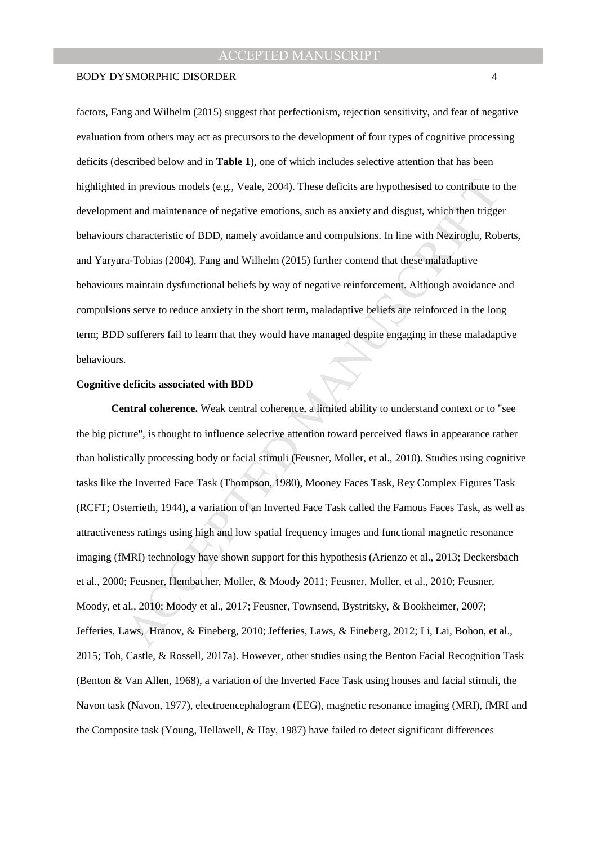factors, Fang and Wilhelm (2015) suggest that perfectionism, rejection sensitivity, and fear of negative evaluation from others may act as precursors to the development of four types of cognitive processing deficits (described below and in **Table 1**), one of which includes selective attention that has been highlighted in previous models (e.g., Veale, 2004). These deficits are hypothesised to contribute to the development and maintenance of negative emotions, such as anxiety and disgust, which then trigger behaviours characteristic of BDD, namely avoidance and compulsions. In line with Neziroglu, Roberts, and Yaryura-Tobias (2004), Fang and Wilhelm (2015) further contend that these maladaptive behaviours maintain dysfunctional beliefs by way of negative reinforcement. Although avoidance and compulsions serve to reduce anxiety in the short term, maladaptive beliefs are reinforced in the long term; BDD sufferers fail to learn that they would have managed despite engaging in these maladaptive behaviours.

## **Cognitive deficits associated with BDD**

I in previous models (e.g., Veale, 2004). These deficits are hypothesised to contribute to<br>the art and maintenance of negative emotions, such as anxiety and disgust, which then trigge<br>characteristic of BDD, namely avoidan **Central coherence.** Weak central coherence, a limited ability to understand context or to "see the big picture", is thought to influence selective attention toward perceived flaws in appearance rather than holistically processing body or facial stimuli (Feusner, Moller, et al., 2010). Studies using cognitive tasks like the Inverted Face Task (Thompson, 1980), Mooney Faces Task, Rey Complex Figures Task (RCFT; Osterrieth, 1944), a variation of an Inverted Face Task called the Famous Faces Task, as well as attractiveness ratings using high and low spatial frequency images and functional magnetic resonance imaging (fMRI) technology have shown support for this hypothesis (Arienzo et al., 2013; Deckersbach et al., 2000; Feusner, Hembacher, Moller, & Moody 2011; Feusner, Moller, et al., 2010; Feusner, Moody, et al., 2010; Moody et al., 2017; Feusner, Townsend, Bystritsky, & Bookheimer, 2007; Jefferies, Laws, Hranov, & Fineberg, 2010; Jefferies, Laws, & Fineberg, 2012; Li, Lai, Bohon, et al., 2015; Toh, Castle, & Rossell, 2017a). However, other studies using the Benton Facial Recognition Task (Benton & Van Allen, 1968), a variation of the Inverted Face Task using houses and facial stimuli, the Navon task (Navon, 1977), electroencephalogram (EEG), magnetic resonance imaging (MRI), fMRI and the Composite task (Young, Hellawell, & Hay, 1987) have failed to detect significant differences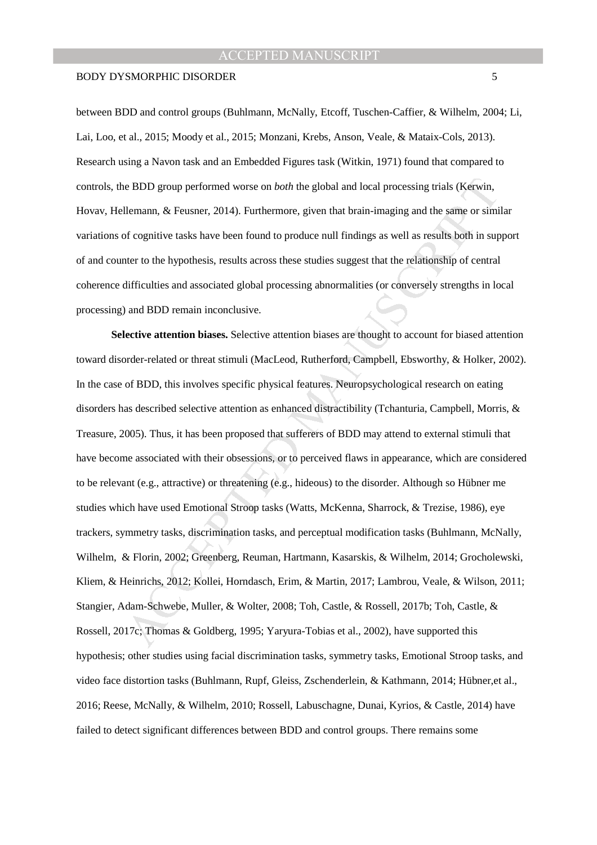### BODY DYSMORPHIC DISORDER 5

between BDD and control groups (Buhlmann, McNally, Etcoff, Tuschen-Caffier, & Wilhelm, 2004; Li, Lai, Loo, et al., 2015; Moody et al., 2015; Monzani, Krebs, Anson, Veale, & Mataix-Cols, 2013). Research using a Navon task and an Embedded Figures task (Witkin, 1971) found that compared to controls, the BDD group performed worse on *both* the global and local processing trials (Kerwin, Hovav, Hellemann, & Feusner, 2014). Furthermore, given that brain-imaging and the same or similar variations of cognitive tasks have been found to produce null findings as well as results both in support of and counter to the hypothesis, results across these studies suggest that the relationship of central coherence difficulties and associated global processing abnormalities (or conversely strengths in local processing) and BDD remain inconclusive.

e BDD group performed worse on *both* the global and local processing trials (Kerwin,<br>Ilemann, & Feusner, 2014). Furthermore, given that brain-imaging and the same or simi<br>of cognitive tasks have been found to produce null **Selective attention biases.** Selective attention biases are thought to account for biased attention toward disorder-related or threat stimuli (MacLeod, Rutherford, Campbell, Ebsworthy, & Holker, 2002). In the case of BDD, this involves specific physical features. Neuropsychological research on eating disorders has described selective attention as enhanced distractibility (Tchanturia, Campbell, Morris, & Treasure, 2005). Thus, it has been proposed that sufferers of BDD may attend to external stimuli that have become associated with their obsessions, or to perceived flaws in appearance, which are considered to be relevant (e.g., attractive) or threatening (e.g., hideous) to the disorder. Although so Hübner me studies which have used Emotional Stroop tasks (Watts, McKenna, Sharrock, & Trezise, 1986), eye trackers, symmetry tasks, discrimination tasks, and perceptual modification tasks (Buhlmann, McNally, Wilhelm, & Florin, 2002; Greenberg, Reuman, Hartmann, Kasarskis, & Wilhelm, 2014; Grocholewski, Kliem, & Heinrichs, 2012; Kollei, Horndasch, Erim, & Martin, 2017; Lambrou, Veale, & Wilson, 2011; Stangier, Adam-Schwebe, Muller, & Wolter, 2008; Toh, Castle, & Rossell, 2017b; Toh, Castle, & Rossell, 2017c; Thomas & Goldberg, 1995; Yaryura-Tobias et al., 2002), have supported this hypothesis; other studies using facial discrimination tasks, symmetry tasks, Emotional Stroop tasks, and video face distortion tasks (Buhlmann, Rupf, Gleiss, Zschenderlein, & Kathmann, 2014; Hübner,et al., 2016; Reese, McNally, & Wilhelm, 2010; Rossell, Labuschagne, Dunai, Kyrios, & Castle, 2014) have failed to detect significant differences between BDD and control groups. There remains some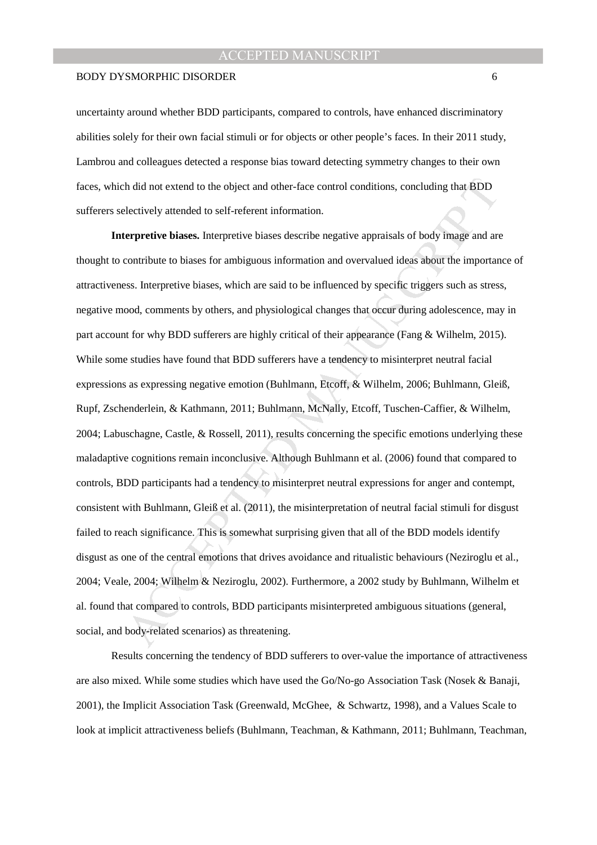### BODY DYSMORPHIC DISORDER 6

uncertainty around whether BDD participants, compared to controls, have enhanced discriminatory abilities solely for their own facial stimuli or for objects or other people's faces. In their 2011 study, Lambrou and colleagues detected a response bias toward detecting symmetry changes to their own faces, which did not extend to the object and other-face control conditions, concluding that BDD sufferers selectively attended to self-referent information.

h did not extend to the object and other-face control conditions, concluding that BDD<br>electively attended to self-referent information.<br> **Exerprefive biases.** Interpretive biases describe negative appraisals of body image **Interpretive biases.** Interpretive biases describe negative appraisals of body image and are thought to contribute to biases for ambiguous information and overvalued ideas about the importance of attractiveness. Interpretive biases, which are said to be influenced by specific triggers such as stress, negative mood, comments by others, and physiological changes that occur during adolescence, may in part account for why BDD sufferers are highly critical of their appearance (Fang & Wilhelm, 2015). While some studies have found that BDD sufferers have a tendency to misinterpret neutral facial expressions as expressing negative emotion (Buhlmann, Etcoff, & Wilhelm, 2006; Buhlmann, Gleiß, Rupf, Zschenderlein, & Kathmann, 2011; Buhlmann, McNally, Etcoff, Tuschen-Caffier, & Wilhelm, 2004; Labuschagne, Castle, & Rossell, 2011), results concerning the specific emotions underlying these maladaptive cognitions remain inconclusive. Although Buhlmann et al. (2006) found that compared to controls, BDD participants had a tendency to misinterpret neutral expressions for anger and contempt, consistent with Buhlmann, Gleiß et al. (2011), the misinterpretation of neutral facial stimuli for disgust failed to reach significance. This is somewhat surprising given that all of the BDD models identify disgust as one of the central emotions that drives avoidance and ritualistic behaviours (Neziroglu et al., 2004; Veale, 2004; Wilhelm & Neziroglu, 2002). Furthermore, a 2002 study by Buhlmann, Wilhelm et al. found that compared to controls, BDD participants misinterpreted ambiguous situations (general, social, and body-related scenarios) as threatening.

Results concerning the tendency of BDD sufferers to over-value the importance of attractiveness are also mixed. While some studies which have used the Go/No-go Association Task (Nosek & Banaji, 2001), the Implicit Association Task (Greenwald, McGhee, & Schwartz, 1998), and a Values Scale to look at implicit attractiveness beliefs (Buhlmann, Teachman, & Kathmann, 2011; Buhlmann, Teachman,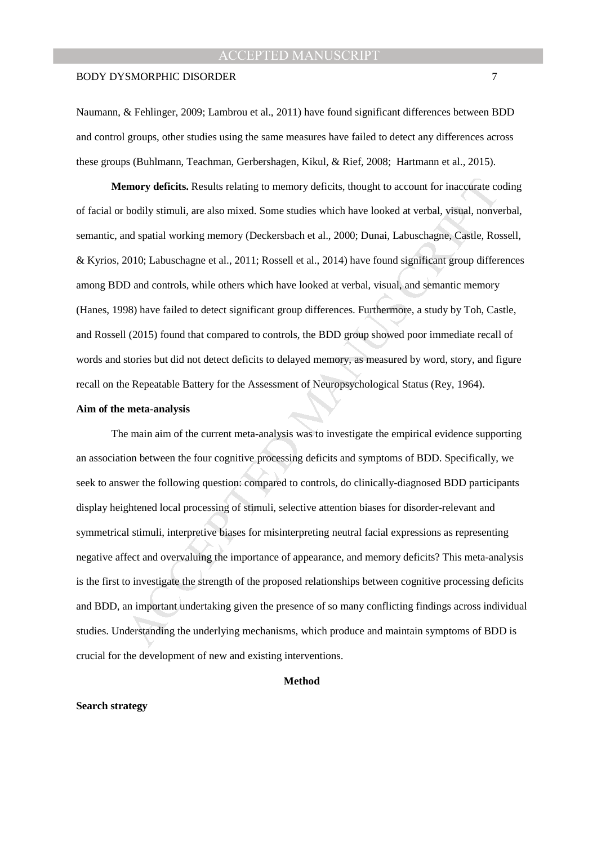### BODY DYSMORPHIC DISORDER 7

Naumann, & Fehlinger, 2009; Lambrou et al., 2011) have found significant differences between BDD and control groups, other studies using the same measures have failed to detect any differences across these groups (Buhlmann, Teachman, Gerbershagen, Kikul, & Rief, 2008; Hartmann et al., 2015).

 **Memory deficits.** Results relating to memory deficits, thought to account for inaccurate coding of facial or bodily stimuli, are also mixed. Some studies which have looked at verbal, visual, nonverbal, semantic, and spatial working memory (Deckersbach et al., 2000; Dunai, Labuschagne, Castle, Rossell, & Kyrios, 2010; Labuschagne et al., 2011; Rossell et al., 2014) have found significant group differences among BDD and controls, while others which have looked at verbal, visual, and semantic memory (Hanes, 1998) have failed to detect significant group differences. Furthermore, a study by Toh, Castle, and Rossell (2015) found that compared to controls, the BDD group showed poor immediate recall of words and stories but did not detect deficits to delayed memory, as measured by word, story, and figure recall on the Repeatable Battery for the Assessment of Neuropsychological Status (Rey, 1964).

## **Aim of the meta-analysis**

**Enotially standard Solution** and the proposition of fields, thought to account for inaccurate corrections both the books of the standard working memory (Deckersbach et al., 2000; Dunai, Labuschagne, Castle, Roord as parti The main aim of the current meta-analysis was to investigate the empirical evidence supporting an association between the four cognitive processing deficits and symptoms of BDD. Specifically, we seek to answer the following question: compared to controls, do clinically-diagnosed BDD participants display heightened local processing of stimuli, selective attention biases for disorder-relevant and symmetrical stimuli, interpretive biases for misinterpreting neutral facial expressions as representing negative affect and overvaluing the importance of appearance, and memory deficits? This meta-analysis is the first to investigate the strength of the proposed relationships between cognitive processing deficits and BDD, an important undertaking given the presence of so many conflicting findings across individual studies. Understanding the underlying mechanisms, which produce and maintain symptoms of BDD is crucial for the development of new and existing interventions.

#### **Method**

#### **Search strategy**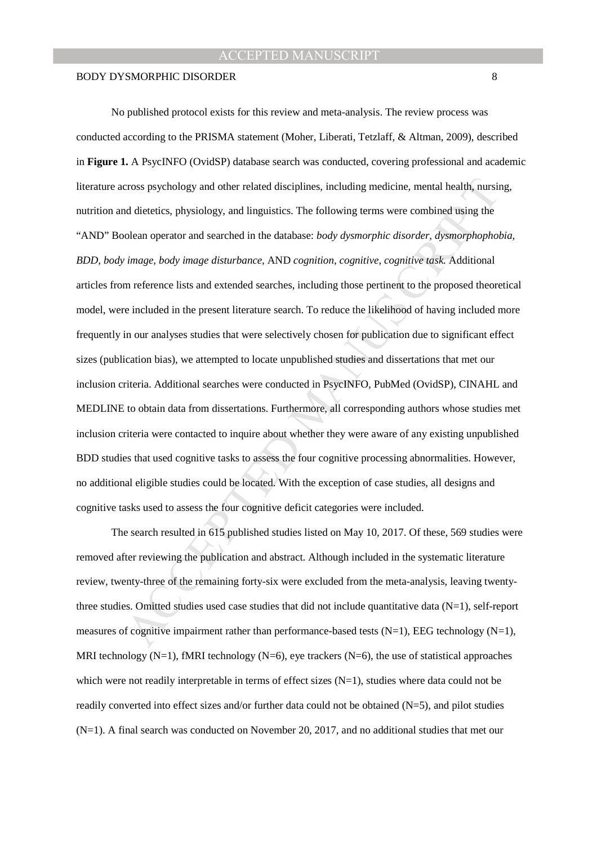cross psychology and other related disciplines, including medicine, mental health, nursind<br>didetetics, physiology, and linguistics. The following terms were combined using the<br>olean operator and searched in the database: No published protocol exists for this review and meta-analysis. The review process was conducted according to the PRISMA statement (Moher, Liberati, Tetzlaff, & Altman, 2009), described in **Figure 1.** A PsycINFO (OvidSP) database search was conducted, covering professional and academic literature across psychology and other related disciplines, including medicine, mental health, nursing, nutrition and dietetics, physiology, and linguistics. The following terms were combined using the "AND" Boolean operator and searched in the database: *body dysmorphic disorder, dysmorphophobia, BDD, body image, body image disturbance,* AND *cognition, cognitive, cognitive task.* Additional articles from reference lists and extended searches, including those pertinent to the proposed theoretical model, were included in the present literature search. To reduce the likelihood of having included more frequently in our analyses studies that were selectively chosen for publication due to significant effect sizes (publication bias), we attempted to locate unpublished studies and dissertations that met our inclusion criteria. Additional searches were conducted in PsycINFO, PubMed (OvidSP), CINAHL and MEDLINE to obtain data from dissertations. Furthermore, all corresponding authors whose studies met inclusion criteria were contacted to inquire about whether they were aware of any existing unpublished BDD studies that used cognitive tasks to assess the four cognitive processing abnormalities. However, no additional eligible studies could be located. With the exception of case studies, all designs and cognitive tasks used to assess the four cognitive deficit categories were included.

The search resulted in 615 published studies listed on May 10, 2017. Of these, 569 studies were removed after reviewing the publication and abstract. Although included in the systematic literature review, twenty-three of the remaining forty-six were excluded from the meta-analysis, leaving twentythree studies. Omitted studies used case studies that did not include quantitative data (N=1), self-report measures of cognitive impairment rather than performance-based tests  $(N=1)$ , EEG technology  $(N=1)$ , MRI technology (N=1), fMRI technology (N=6), eye trackers (N=6), the use of statistical approaches which were not readily interpretable in terms of effect sizes  $(N=1)$ , studies where data could not be readily converted into effect sizes and/or further data could not be obtained (N=5), and pilot studies (N=1). A final search was conducted on November 20, 2017, and no additional studies that met our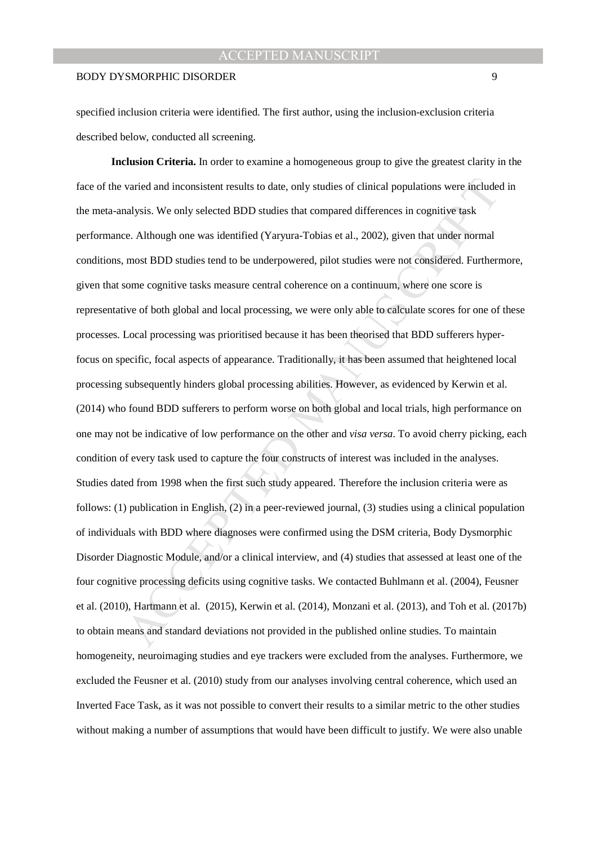### BODY DYSMORPHIC DISORDER 9

specified inclusion criteria were identified. The first author, using the inclusion-exclusion criteria described below, conducted all screening.

varied and inconsistent results to date, only studies of clinical populations were include<br>alaysis. We only selected BDD studies that compared differences in cognitive task<br>e. Although one was identified (Yaryura-Tobias et **Inclusion Criteria.** In order to examine a homogeneous group to give the greatest clarity in the face of the varied and inconsistent results to date, only studies of clinical populations were included in the meta-analysis. We only selected BDD studies that compared differences in cognitive task performance. Although one was identified (Yaryura-Tobias et al., 2002), given that under normal conditions, most BDD studies tend to be underpowered, pilot studies were not considered. Furthermore, given that some cognitive tasks measure central coherence on a continuum, where one score is representative of both global and local processing, we were only able to calculate scores for one of these processes. Local processing was prioritised because it has been theorised that BDD sufferers hyperfocus on specific, focal aspects of appearance. Traditionally, it has been assumed that heightened local processing subsequently hinders global processing abilities. However, as evidenced by Kerwin et al. (2014) who found BDD sufferers to perform worse on both global and local trials, high performance on one may not be indicative of low performance on the other and *visa versa*. To avoid cherry picking, each condition of every task used to capture the four constructs of interest was included in the analyses. Studies dated from 1998 when the first such study appeared. Therefore the inclusion criteria were as follows: (1) publication in English, (2) in a peer-reviewed journal, (3) studies using a clinical population of individuals with BDD where diagnoses were confirmed using the DSM criteria, Body Dysmorphic Disorder Diagnostic Module, and/or a clinical interview, and (4) studies that assessed at least one of the four cognitive processing deficits using cognitive tasks. We contacted Buhlmann et al. (2004), Feusner et al. (2010), Hartmann et al. (2015), Kerwin et al. (2014), Monzani et al. (2013), and Toh et al. (2017b) to obtain means and standard deviations not provided in the published online studies. To maintain homogeneity, neuroimaging studies and eye trackers were excluded from the analyses. Furthermore, we excluded the Feusner et al. (2010) study from our analyses involving central coherence, which used an Inverted Face Task, as it was not possible to convert their results to a similar metric to the other studies without making a number of assumptions that would have been difficult to justify. We were also unable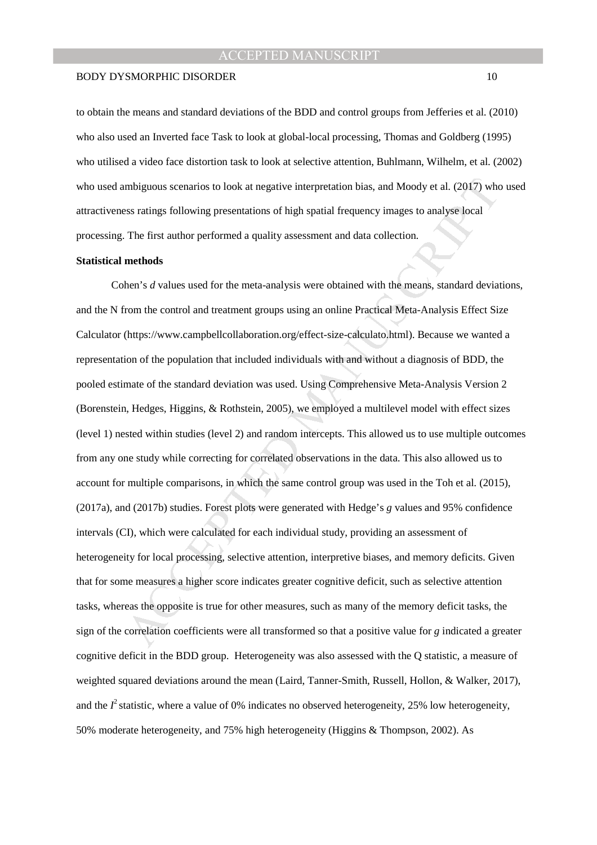#### BODY DYSMORPHIC DISORDER 10

to obtain the means and standard deviations of the BDD and control groups from Jefferies et al. (2010) who also used an Inverted face Task to look at global-local processing, Thomas and Goldberg (1995) who utilised a video face distortion task to look at selective attention, Buhlmann, Wilhelm, et al. (2002) who used ambiguous scenarios to look at negative interpretation bias, and Moody et al. (2017) who used attractiveness ratings following presentations of high spatial frequency images to analyse local processing. The first author performed a quality assessment and data collection.

## **Statistical methods**

mbiguous scenarios to look at negative interpretation bias, and Moody et al. (2017) whos ratings following presentations of high spatial frequency images to analyse local<br>The first author performed a quality assessment and Cohen's *d* values used for the meta-analysis were obtained with the means, standard deviations, and the N from the control and treatment groups using an online Practical Meta-Analysis Effect Size Calculator (https://www.campbellcollaboration.org/effect-size-calculato.html). Because we wanted a representation of the population that included individuals with and without a diagnosis of BDD, the pooled estimate of the standard deviation was used. Using Comprehensive Meta-Analysis Version 2 (Borenstein, Hedges, Higgins, & Rothstein, 2005), we employed a multilevel model with effect sizes (level 1) nested within studies (level 2) and random intercepts. This allowed us to use multiple outcomes from any one study while correcting for correlated observations in the data. This also allowed us to account for multiple comparisons, in which the same control group was used in the Toh et al. (2015), (2017a), and (2017b) studies. Forest plots were generated with Hedge's *g* values and 95% confidence intervals (CI), which were calculated for each individual study, providing an assessment of heterogeneity for local processing, selective attention, interpretive biases, and memory deficits. Given that for some measures a higher score indicates greater cognitive deficit, such as selective attention tasks, whereas the opposite is true for other measures, such as many of the memory deficit tasks, the sign of the correlation coefficients were all transformed so that a positive value for *g* indicated a greater cognitive deficit in the BDD group. Heterogeneity was also assessed with the Q statistic, a measure of weighted squared deviations around the mean (Laird, Tanner-Smith, Russell, Hollon, & Walker, 2017), and the  $I^2$  statistic, where a value of 0% indicates no observed heterogeneity, 25% low heterogeneity, 50% moderate heterogeneity, and 75% high heterogeneity (Higgins & Thompson, 2002). As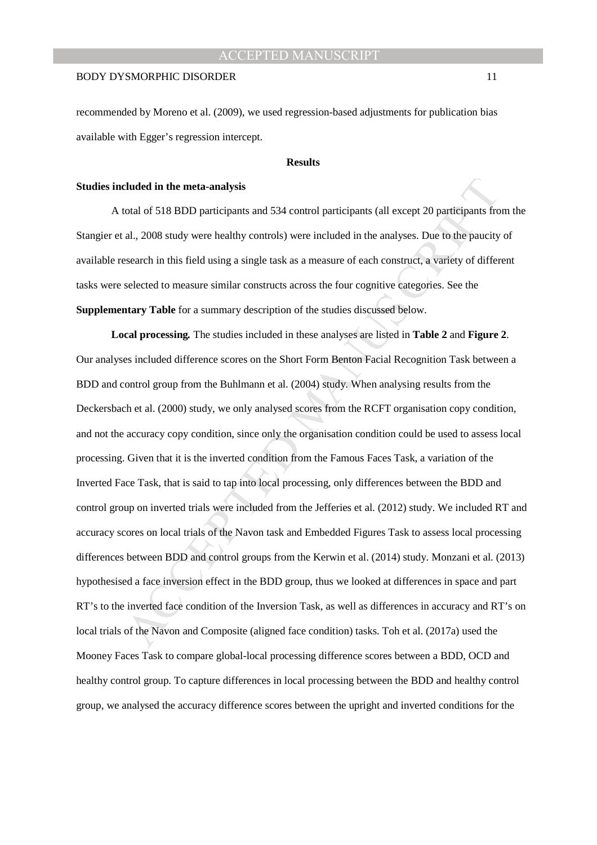recommended by Moreno et al. (2009), we used regression-based adjustments for publication bias available with Egger's regression intercept.

## **Results**

#### **Studies included in the meta-analysis**

A total of 518 BDD participants and 534 control participants (all except 20 participants from the Stangier et al., 2008 study were healthy controls) were included in the analyses. Due to the paucity of available research in this field using a single task as a measure of each construct, a variety of different tasks were selected to measure similar constructs across the four cognitive categories. See the **Supplementary Table** for a summary description of the studies discussed below.

characteristic of the meta-analysis<br>cotal of 518 BDD participants and 534 control participants (all except 20 participants fro<br>al., 2008 study were healthy controls) were included in the analyses. Due to the paucity<br>escarc **Local processing***.* The studies included in these analyses are listed in **Table 2** and **Figure 2**. Our analyses included difference scores on the Short Form Benton Facial Recognition Task between a BDD and control group from the Buhlmann et al. (2004) study. When analysing results from the Deckersbach et al. (2000) study, we only analysed scores from the RCFT organisation copy condition, and not the accuracy copy condition, since only the organisation condition could be used to assess local processing. Given that it is the inverted condition from the Famous Faces Task, a variation of the Inverted Face Task, that is said to tap into local processing, only differences between the BDD and control group on inverted trials were included from the Jefferies et al. (2012) study. We included RT and accuracy scores on local trials of the Navon task and Embedded Figures Task to assess local processing differences between BDD and control groups from the Kerwin et al. (2014) study. Monzani et al. (2013) hypothesised a face inversion effect in the BDD group, thus we looked at differences in space and part RT's to the inverted face condition of the Inversion Task, as well as differences in accuracy and RT's on local trials of the Navon and Composite (aligned face condition) tasks. Toh et al. (2017a) used the Mooney Faces Task to compare global-local processing difference scores between a BDD, OCD and healthy control group. To capture differences in local processing between the BDD and healthy control group, we analysed the accuracy difference scores between the upright and inverted conditions for the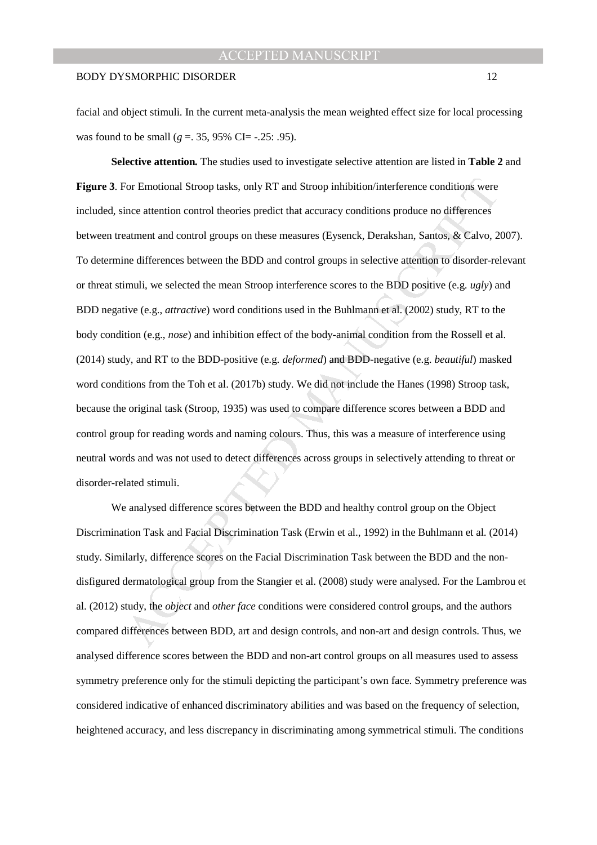facial and object stimuli. In the current meta-analysis the mean weighted effect size for local processing was found to be small ( $g = 0.35$ , 95% CI= -.25: .95).

For Emotional Stroop tasks, only RT and Stroop inhibition/interference conditions were<br>ince attention control theories predict that accuracy conditions produce no differences<br>eatment and control groups on these measures (E **Selective attention***.* The studies used to investigate selective attention are listed in **Table 2** and **Figure 3**. For Emotional Stroop tasks, only RT and Stroop inhibition/interference conditions were included, since attention control theories predict that accuracy conditions produce no differences between treatment and control groups on these measures (Eysenck, Derakshan, Santos, & Calvo, 2007). To determine differences between the BDD and control groups in selective attention to disorder-relevant or threat stimuli, we selected the mean Stroop interference scores to the BDD positive (e.g. *ugly*) and BDD negative (e.g., *attractive*) word conditions used in the Buhlmann et al. (2002) study, RT to the body condition (e.g., *nose*) and inhibition effect of the body-animal condition from the Rossell et al. (2014) study, and RT to the BDD-positive (e.g. *deformed*) and BDD-negative (e.g. *beautiful*) masked word conditions from the Toh et al. (2017b) study. We did not include the Hanes (1998) Stroop task, because the original task (Stroop, 1935) was used to compare difference scores between a BDD and control group for reading words and naming colours. Thus, this was a measure of interference using neutral words and was not used to detect differences across groups in selectively attending to threat or disorder-related stimuli.

We analysed difference scores between the BDD and healthy control group on the Object Discrimination Task and Facial Discrimination Task (Erwin et al., 1992) in the Buhlmann et al. (2014) study. Similarly, difference scores on the Facial Discrimination Task between the BDD and the nondisfigured dermatological group from the Stangier et al. (2008) study were analysed. For the Lambrou et al. (2012) study, the *object* and *other face* conditions were considered control groups, and the authors compared differences between BDD, art and design controls, and non-art and design controls. Thus, we analysed difference scores between the BDD and non-art control groups on all measures used to assess symmetry preference only for the stimuli depicting the participant's own face. Symmetry preference was considered indicative of enhanced discriminatory abilities and was based on the frequency of selection, heightened accuracy, and less discrepancy in discriminating among symmetrical stimuli. The conditions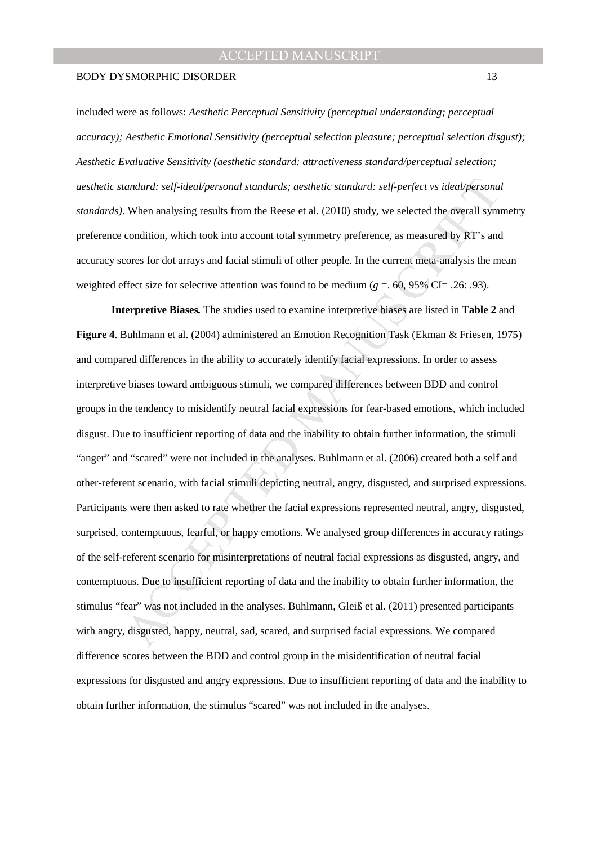#### BODY DYSMORPHIC DISORDER 13

included were as follows: *Aesthetic Perceptual Sensitivity (perceptual understanding; perceptual accuracy); Aesthetic Emotional Sensitivity (perceptual selection pleasure; perceptual selection disgust); Aesthetic Evaluative Sensitivity (aesthetic standard: attractiveness standard/perceptual selection; aesthetic standard: self-ideal/personal standards; aesthetic standard: self-perfect vs ideal/personal standards)*. When analysing results from the Reese et al. (2010) study, we selected the overall symmetry preference condition, which took into account total symmetry preference, as measured by RT's and accuracy scores for dot arrays and facial stimuli of other people. In the current meta-analysis the mean weighted effect size for selective attention was found to be medium ( $g = .60, 95\%$  CI= .26: .93).

andard: self-ideal/personal standards; aesthetic standard: self-perfect vs ideal/persona<br>
When analysing results from the Reese et al. (2010) study, we selected the overall sym<br>
condition, which took into account total sym **Interpretive Biases***.* The studies used to examine interpretive biases are listed in **Table 2** and **Figure 4**. Buhlmann et al. (2004) administered an Emotion Recognition Task (Ekman & Friesen, 1975) and compared differences in the ability to accurately identify facial expressions. In order to assess interpretive biases toward ambiguous stimuli, we compared differences between BDD and control groups in the tendency to misidentify neutral facial expressions for fear-based emotions, which included disgust. Due to insufficient reporting of data and the inability to obtain further information, the stimuli "anger" and "scared" were not included in the analyses. Buhlmann et al. (2006) created both a self and other-referent scenario, with facial stimuli depicting neutral, angry, disgusted, and surprised expressions. Participants were then asked to rate whether the facial expressions represented neutral, angry, disgusted, surprised, contemptuous, fearful, or happy emotions. We analysed group differences in accuracy ratings of the self-referent scenario for misinterpretations of neutral facial expressions as disgusted, angry, and contemptuous. Due to insufficient reporting of data and the inability to obtain further information, the stimulus "fear" was not included in the analyses. Buhlmann, Gleiß et al. (2011) presented participants with angry, disgusted, happy, neutral, sad, scared, and surprised facial expressions. We compared difference scores between the BDD and control group in the misidentification of neutral facial expressions for disgusted and angry expressions. Due to insufficient reporting of data and the inability to obtain further information, the stimulus "scared" was not included in the analyses.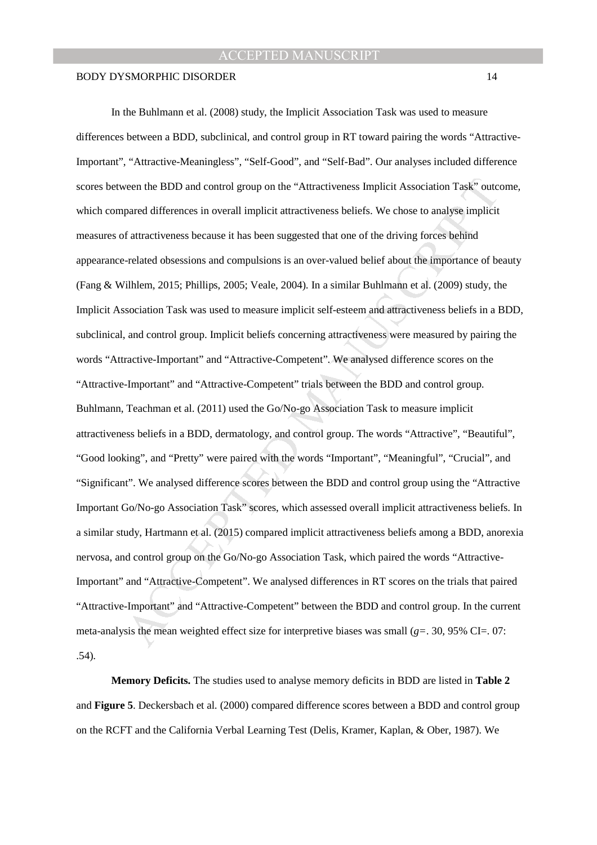ieven the BDD and control group on the "Attractiveness Implicit Association Task" outcogrand differences in overall implicit attractiveness beliefs. We chose to analyse implicit attractiveness because it has been suggested In the Buhlmann et al. (2008) study, the Implicit Association Task was used to measure differences between a BDD, subclinical, and control group in RT toward pairing the words "Attractive-Important", "Attractive-Meaningless", "Self-Good", and "Self-Bad". Our analyses included difference scores between the BDD and control group on the "Attractiveness Implicit Association Task" outcome, which compared differences in overall implicit attractiveness beliefs. We chose to analyse implicit measures of attractiveness because it has been suggested that one of the driving forces behind appearance-related obsessions and compulsions is an over-valued belief about the importance of beauty (Fang & Wilhlem, 2015; Phillips, 2005; Veale, 2004). In a similar Buhlmann et al. (2009) study, the Implicit Association Task was used to measure implicit self-esteem and attractiveness beliefs in a BDD, subclinical, and control group. Implicit beliefs concerning attractiveness were measured by pairing the words "Attractive-Important" and "Attractive-Competent". We analysed difference scores on the "Attractive-Important" and "Attractive-Competent" trials between the BDD and control group. Buhlmann, Teachman et al. (2011) used the Go/No-go Association Task to measure implicit attractiveness beliefs in a BDD, dermatology, and control group. The words "Attractive", "Beautiful", "Good looking", and "Pretty" were paired with the words "Important", "Meaningful", "Crucial", and "Significant". We analysed difference scores between the BDD and control group using the "Attractive Important Go/No-go Association Task" scores, which assessed overall implicit attractiveness beliefs. In a similar study, Hartmann et al. (2015) compared implicit attractiveness beliefs among a BDD, anorexia nervosa, and control group on the Go/No-go Association Task, which paired the words "Attractive-Important" and "Attractive-Competent". We analysed differences in RT scores on the trials that paired "Attractive-Important" and "Attractive-Competent" between the BDD and control group. In the current meta-analysis the mean weighted effect size for interpretive biases was small  $(g=$ . 30, 95% CI=. 07: .54).

**Memory Deficits.** The studies used to analyse memory deficits in BDD are listed in **Table 2**  and **Figure 5**. Deckersbach et al. (2000) compared difference scores between a BDD and control group on the RCFT and the California Verbal Learning Test (Delis, Kramer, Kaplan, & Ober, 1987). We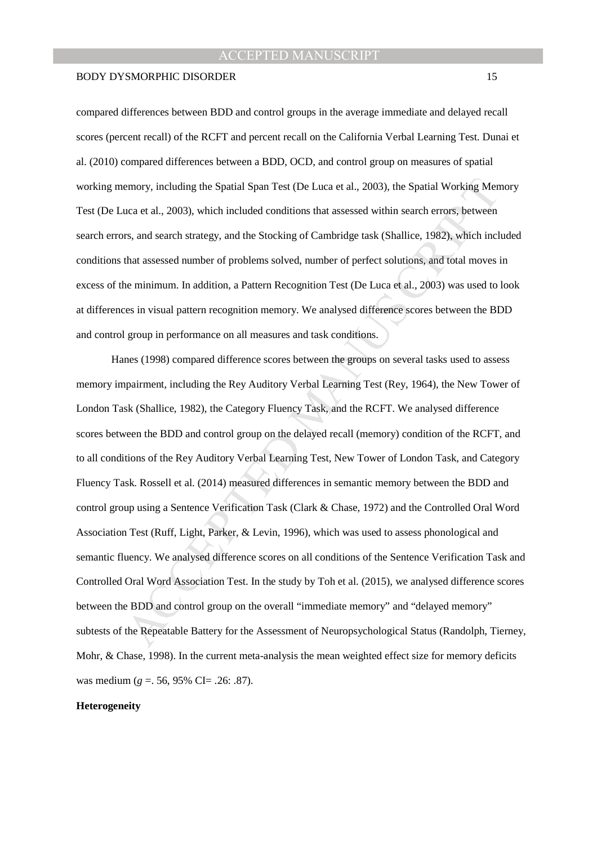compared differences between BDD and control groups in the average immediate and delayed recall scores (percent recall) of the RCFT and percent recall on the California Verbal Learning Test. Dunai et al. (2010) compared differences between a BDD, OCD, and control group on measures of spatial working memory, including the Spatial Span Test (De Luca et al., 2003), the Spatial Working Memory Test (De Luca et al., 2003), which included conditions that assessed within search errors, between search errors, and search strategy, and the Stocking of Cambridge task (Shallice, 1982), which included conditions that assessed number of problems solved, number of perfect solutions, and total moves in excess of the minimum. In addition, a Pattern Recognition Test (De Luca et al., 2003) was used to look at differences in visual pattern recognition memory. We analysed difference scores between the BDD and control group in performance on all measures and task conditions.

emory, including the Spatial Span Test (De Luca et al., 2003), the Spatial Working Men<br>
uca et al., 2003), which included conditions that assessed within search errors, between<br>
rs, and search strategy, and the Stocking of Hanes (1998) compared difference scores between the groups on several tasks used to assess memory impairment, including the Rey Auditory Verbal Learning Test (Rey, 1964), the New Tower of London Task (Shallice, 1982), the Category Fluency Task, and the RCFT. We analysed difference scores between the BDD and control group on the delayed recall (memory) condition of the RCFT, and to all conditions of the Rey Auditory Verbal Learning Test, New Tower of London Task, and Category Fluency Task. Rossell et al. (2014) measured differences in semantic memory between the BDD and control group using a Sentence Verification Task (Clark & Chase, 1972) and the Controlled Oral Word Association Test (Ruff, Light, Parker, & Levin, 1996), which was used to assess phonological and semantic fluency. We analysed difference scores on all conditions of the Sentence Verification Task and Controlled Oral Word Association Test. In the study by Toh et al. (2015), we analysed difference scores between the BDD and control group on the overall "immediate memory" and "delayed memory" subtests of the Repeatable Battery for the Assessment of Neuropsychological Status (Randolph, Tierney, Mohr, & Chase, 1998). In the current meta-analysis the mean weighted effect size for memory deficits was medium (*g* =. 56, 95% CI= .26: .87).

#### **Heterogeneity**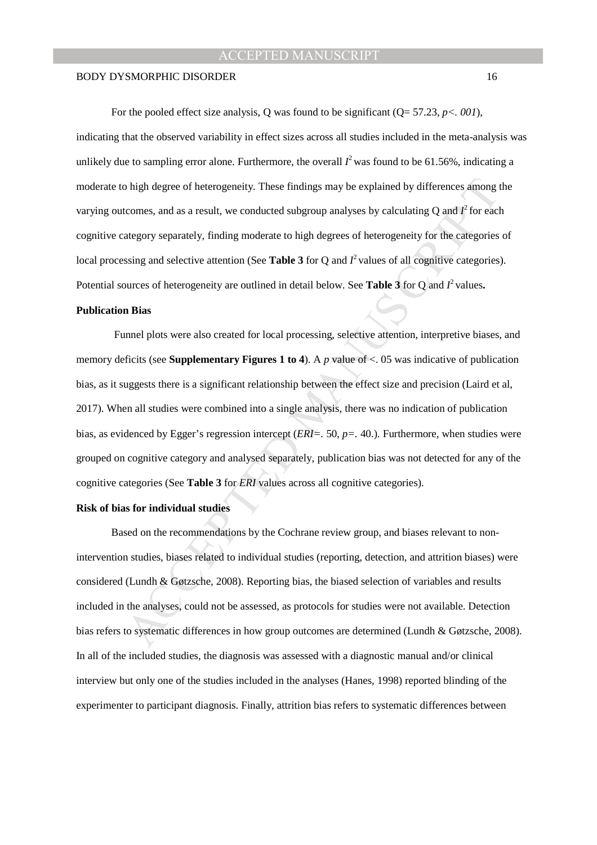For the pooled effect size analysis, Q was found to be significant (Q= 57.23, *p<. 001*), indicating that the observed variability in effect sizes across all studies included in the meta-analysis was unlikely due to sampling error alone. Furthermore, the overall  $I^2$  was found to be 61.56%, indicating a moderate to high degree of heterogeneity. These findings may be explained by differences among the varying outcomes, and as a result, we conducted subgroup analyses by calculating  $Q$  and  $I^2$  for each cognitive category separately, finding moderate to high degrees of heterogeneity for the categories of local processing and selective attention (See **Table 3** for Q and  $I^2$  values of all cognitive categories). Potential sources of heterogeneity are outlined in detail below. See **Table 3** for Q and  $I^2$  values.

#### **Publication Bias**

b high degree of heterogeneity. These findings may be explained by differences among toomss, and as a result, we conducted subgroup analyses by calculating Q and  $P$  for eacletegory separately, finding moderate to high de Funnel plots were also created for local processing, selective attention, interpretive biases, and memory deficits (see **Supplementary Figures 1 to 4**). A *p* value of <. 05 was indicative of publication bias, as it suggests there is a significant relationship between the effect size and precision (Laird et al, 2017). When all studies were combined into a single analysis, there was no indication of publication bias, as evidenced by Egger's regression intercept (*ERI=.* 50, *p=.* 40.). Furthermore, when studies were grouped on cognitive category and analysed separately, publication bias was not detected for any of the cognitive categories (See **Table 3** for *ERI* values across all cognitive categories).

## **Risk of bias for individual studies**

Based on the recommendations by the Cochrane review group, and biases relevant to nonintervention studies, biases related to individual studies (reporting, detection, and attrition biases) were considered (Lundh & Gøtzsche, 2008). Reporting bias, the biased selection of variables and results included in the analyses, could not be assessed, as protocols for studies were not available. Detection bias refers to systematic differences in how group outcomes are determined (Lundh & Gøtzsche, 2008). In all of the included studies, the diagnosis was assessed with a diagnostic manual and/or clinical interview but only one of the studies included in the analyses (Hanes, 1998) reported blinding of the experimenter to participant diagnosis. Finally, attrition bias refers to systematic differences between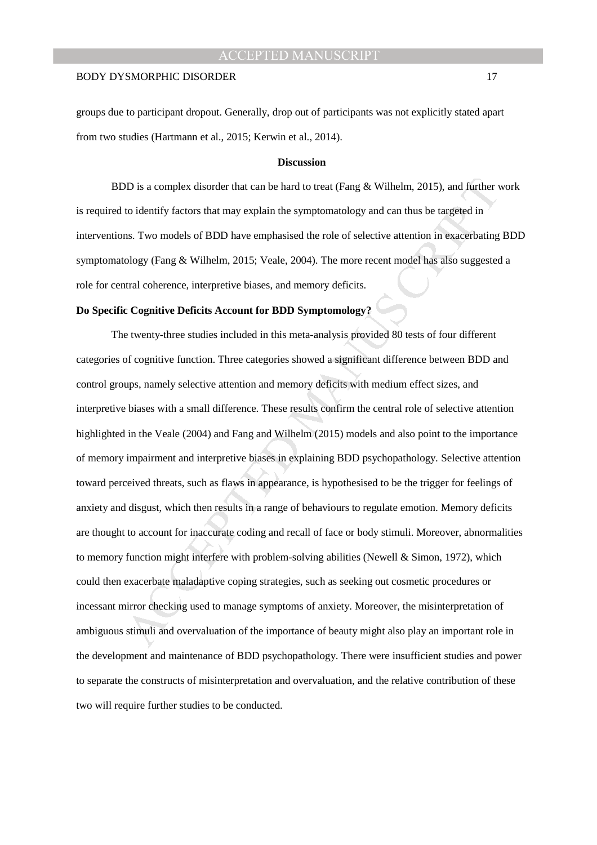groups due to participant dropout. Generally, drop out of participants was not explicitly stated apart from two studies (Hartmann et al., 2015; Kerwin et al., 2014).

## **Discussion**

BDD is a complex disorder that can be hard to treat (Fang & Wilhelm, 2015), and further work is required to identify factors that may explain the symptomatology and can thus be targeted in interventions. Two models of BDD have emphasised the role of selective attention in exacerbating BDD symptomatology (Fang & Wilhelm, 2015; Veale, 2004). The more recent model has also suggested a role for central coherence, interpretive biases, and memory deficits.

### **Do Specific Cognitive Deficits Account for BDD Symptomology?**

10 is a complex disorder that can be hard to treat (Fang & Wilhelm, 2015), and further to identify factors that may explain the symptomatology and can thus be targeted in the SML manuscription of sales of BDD have emphasis The twenty-three studies included in this meta-analysis provided 80 tests of four different categories of cognitive function. Three categories showed a significant difference between BDD and control groups, namely selective attention and memory deficits with medium effect sizes, and interpretive biases with a small difference. These results confirm the central role of selective attention highlighted in the Veale (2004) and Fang and Wilhelm (2015) models and also point to the importance of memory impairment and interpretive biases in explaining BDD psychopathology. Selective attention toward perceived threats, such as flaws in appearance, is hypothesised to be the trigger for feelings of anxiety and disgust, which then results in a range of behaviours to regulate emotion. Memory deficits are thought to account for inaccurate coding and recall of face or body stimuli. Moreover, abnormalities to memory function might interfere with problem-solving abilities (Newell & Simon, 1972), which could then exacerbate maladaptive coping strategies, such as seeking out cosmetic procedures or incessant mirror checking used to manage symptoms of anxiety. Moreover, the misinterpretation of ambiguous stimuli and overvaluation of the importance of beauty might also play an important role in the development and maintenance of BDD psychopathology. There were insufficient studies and power to separate the constructs of misinterpretation and overvaluation, and the relative contribution of these two will require further studies to be conducted.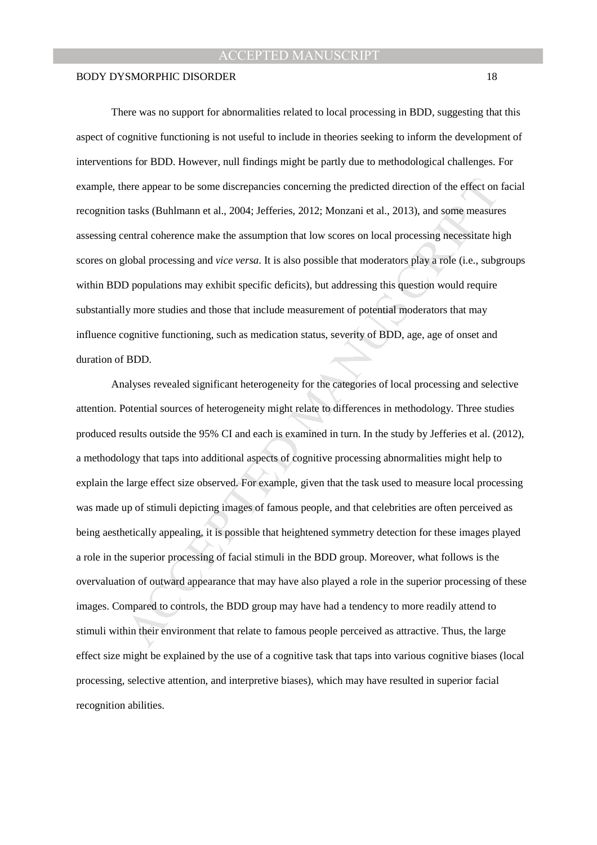There was no support for abnormalities related to local processing in BDD, suggesting that this aspect of cognitive functioning is not useful to include in theories seeking to inform the development of interventions for BDD. However, null findings might be partly due to methodological challenges. For example, there appear to be some discrepancies concerning the predicted direction of the effect on facial recognition tasks (Buhlmann et al., 2004; Jefferies, 2012; Monzani et al., 2013), and some measures assessing central coherence make the assumption that low scores on local processing necessitate high scores on global processing and *vice versa*. It is also possible that moderators play a role (i.e., subgroups within BDD populations may exhibit specific deficits), but addressing this question would require substantially more studies and those that include measurement of potential moderators that may influence cognitive functioning, such as medication status, severity of BDD, age, age of onset and duration of BDD.

nere appear to be some discrepancies concerning the predicted direction of the effect on<br>trasks (Buhlmann et al., 2004; Jefferies, 2012; Monzani et al., 2013), and some measure<br>nertal coherence make the assumption that low Analyses revealed significant heterogeneity for the categories of local processing and selective attention. Potential sources of heterogeneity might relate to differences in methodology. Three studies produced results outside the 95% CI and each is examined in turn. In the study by Jefferies et al. (2012), a methodology that taps into additional aspects of cognitive processing abnormalities might help to explain the large effect size observed. For example, given that the task used to measure local processing was made up of stimuli depicting images of famous people, and that celebrities are often perceived as being aesthetically appealing, it is possible that heightened symmetry detection for these images played a role in the superior processing of facial stimuli in the BDD group. Moreover, what follows is the overvaluation of outward appearance that may have also played a role in the superior processing of these images. Compared to controls, the BDD group may have had a tendency to more readily attend to stimuli within their environment that relate to famous people perceived as attractive. Thus, the large effect size might be explained by the use of a cognitive task that taps into various cognitive biases (local processing, selective attention, and interpretive biases), which may have resulted in superior facial recognition abilities.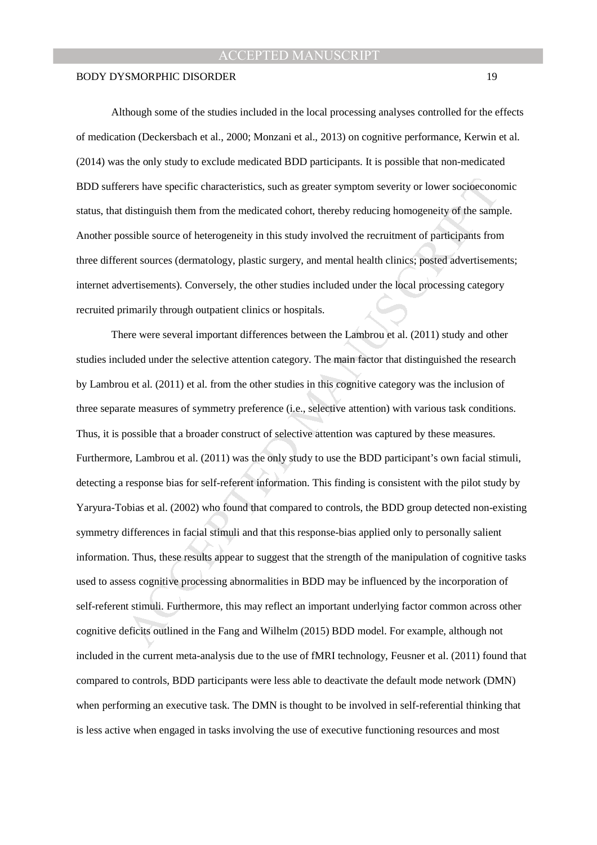Although some of the studies included in the local processing analyses controlled for the effects of medication (Deckersbach et al., 2000; Monzani et al., 2013) on cognitive performance, Kerwin et al. (2014) was the only study to exclude medicated BDD participants. It is possible that non-medicated BDD sufferers have specific characteristics, such as greater symptom severity or lower socioeconomic status, that distinguish them from the medicated cohort, thereby reducing homogeneity of the sample. Another possible source of heterogeneity in this study involved the recruitment of participants from three different sources (dermatology, plastic surgery, and mental health clinics; posted advertisements; internet advertisements). Conversely, the other studies included under the local processing category recruited primarily through outpatient clinics or hospitals.

rens have specific characteristics, such as greater symptom severity or lower socioecono<br>distinguish them from the medicated cohort, thereby reducing homogeneity of the samps<br>sible source of heterogeneity in this study inv There were several important differences between the Lambrou et al. (2011) study and other studies included under the selective attention category. The main factor that distinguished the research by Lambrou et al. (2011) et al. from the other studies in this cognitive category was the inclusion of three separate measures of symmetry preference (i.e., selective attention) with various task conditions. Thus, it is possible that a broader construct of selective attention was captured by these measures. Furthermore, Lambrou et al. (2011) was the only study to use the BDD participant's own facial stimuli, detecting a response bias for self-referent information. This finding is consistent with the pilot study by Yaryura-Tobias et al. (2002) who found that compared to controls, the BDD group detected non-existing symmetry differences in facial stimuli and that this response-bias applied only to personally salient information. Thus, these results appear to suggest that the strength of the manipulation of cognitive tasks used to assess cognitive processing abnormalities in BDD may be influenced by the incorporation of self-referent stimuli. Furthermore, this may reflect an important underlying factor common across other cognitive deficits outlined in the Fang and Wilhelm (2015) BDD model. For example, although not included in the current meta-analysis due to the use of fMRI technology, Feusner et al. (2011) found that compared to controls, BDD participants were less able to deactivate the default mode network (DMN) when performing an executive task. The DMN is thought to be involved in self-referential thinking that is less active when engaged in tasks involving the use of executive functioning resources and most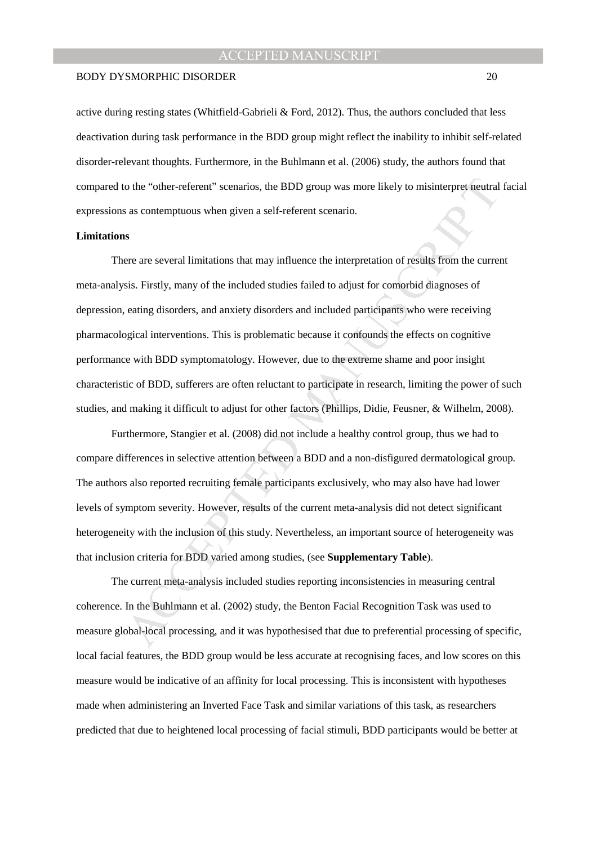### BODY DYSMORPHIC DISORDER 20

active during resting states (Whitfield-Gabrieli & Ford, 2012). Thus, the authors concluded that less deactivation during task performance in the BDD group might reflect the inability to inhibit self-related disorder-relevant thoughts. Furthermore, in the Buhlmann et al. (2006) study, the authors found that compared to the "other-referent" scenarios, the BDD group was more likely to misinterpret neutral facial expressions as contemptuous when given a self-referent scenario.

## **Limitations**

o the "other-referent" scenarios, the BDD group was more likely to misinterpret neutral<br>sas contemptuous when given a self-referent scenario.<br>S<br>measure are several limitations that may influence the interpretation of resul There are several limitations that may influence the interpretation of results from the current meta-analysis. Firstly, many of the included studies failed to adjust for comorbid diagnoses of depression, eating disorders, and anxiety disorders and included participants who were receiving pharmacological interventions. This is problematic because it confounds the effects on cognitive performance with BDD symptomatology. However, due to the extreme shame and poor insight characteristic of BDD, sufferers are often reluctant to participate in research, limiting the power of such studies, and making it difficult to adjust for other factors (Phillips, Didie, Feusner, & Wilhelm, 2008).

Furthermore, Stangier et al. (2008) did not include a healthy control group, thus we had to compare differences in selective attention between a BDD and a non-disfigured dermatological group. The authors also reported recruiting female participants exclusively, who may also have had lower levels of symptom severity. However, results of the current meta-analysis did not detect significant heterogeneity with the inclusion of this study. Nevertheless, an important source of heterogeneity was that inclusion criteria for BDD varied among studies, (see **Supplementary Table**).

The current meta-analysis included studies reporting inconsistencies in measuring central coherence. In the Buhlmann et al. (2002) study, the Benton Facial Recognition Task was used to measure global-local processing, and it was hypothesised that due to preferential processing of specific, local facial features, the BDD group would be less accurate at recognising faces, and low scores on this measure would be indicative of an affinity for local processing. This is inconsistent with hypotheses made when administering an Inverted Face Task and similar variations of this task, as researchers predicted that due to heightened local processing of facial stimuli, BDD participants would be better at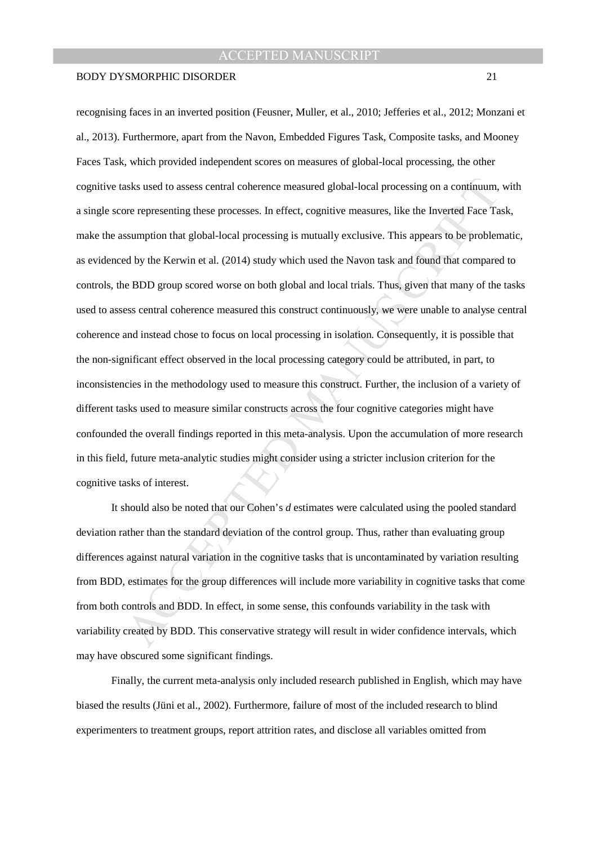### BODY DYSMORPHIC DISORDER 21

asks used to assess central coherence measured global-local processing on a continuum,<br>or representing these processes. In effect, cognitive measures, like the Inverted Face Ta<br>sumption that global-local processing is mutu recognising faces in an inverted position (Feusner, Muller, et al., 2010; Jefferies et al., 2012; Monzani et al., 2013). Furthermore, apart from the Navon, Embedded Figures Task, Composite tasks, and Mooney Faces Task, which provided independent scores on measures of global-local processing, the other cognitive tasks used to assess central coherence measured global-local processing on a continuum, with a single score representing these processes. In effect, cognitive measures, like the Inverted Face Task, make the assumption that global-local processing is mutually exclusive. This appears to be problematic, as evidenced by the Kerwin et al. (2014) study which used the Navon task and found that compared to controls, the BDD group scored worse on both global and local trials. Thus, given that many of the tasks used to assess central coherence measured this construct continuously, we were unable to analyse central coherence and instead chose to focus on local processing in isolation. Consequently, it is possible that the non-significant effect observed in the local processing category could be attributed, in part, to inconsistencies in the methodology used to measure this construct. Further, the inclusion of a variety of different tasks used to measure similar constructs across the four cognitive categories might have confounded the overall findings reported in this meta-analysis. Upon the accumulation of more research in this field, future meta-analytic studies might consider using a stricter inclusion criterion for the cognitive tasks of interest.

It should also be noted that our Cohen's *d* estimates were calculated using the pooled standard deviation rather than the standard deviation of the control group. Thus, rather than evaluating group differences against natural variation in the cognitive tasks that is uncontaminated by variation resulting from BDD, estimates for the group differences will include more variability in cognitive tasks that come from both controls and BDD. In effect, in some sense, this confounds variability in the task with variability created by BDD. This conservative strategy will result in wider confidence intervals, which may have obscured some significant findings.

Finally, the current meta-analysis only included research published in English, which may have biased the results (Jüni et al., 2002). Furthermore, failure of most of the included research to blind experimenters to treatment groups, report attrition rates, and disclose all variables omitted from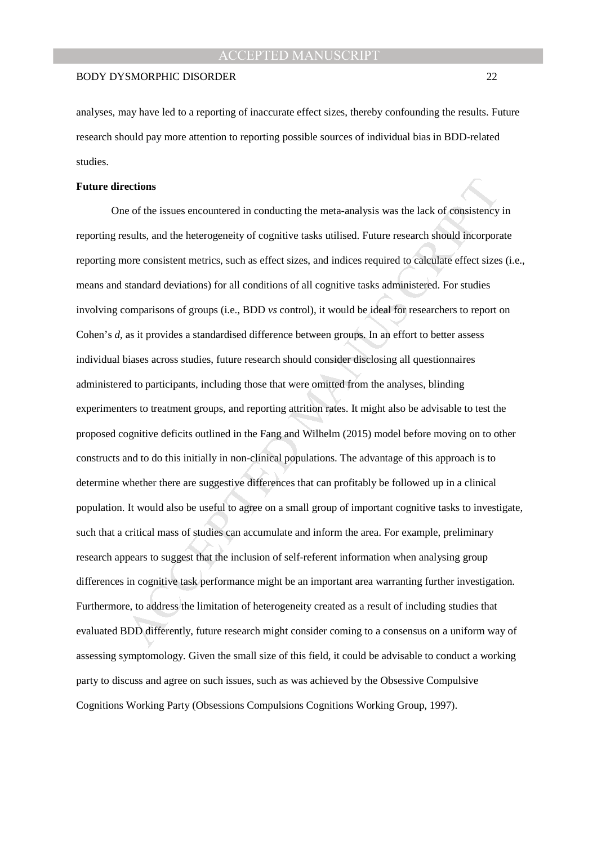analyses, may have led to a reporting of inaccurate effect sizes, thereby confounding the results. Future research should pay more attention to reporting possible sources of individual bias in BDD-related studies.

## **Future directions**

ections<br>ections<br>ections<br>contributions are accountered in conducting the meta-analysis was the lack of consistency<br>scults, and the heterogeneity of cognitive tasks utilised. Future research should incorpor<br>orie consistent m One of the issues encountered in conducting the meta-analysis was the lack of consistency in reporting results, and the heterogeneity of cognitive tasks utilised. Future research should incorporate reporting more consistent metrics, such as effect sizes, and indices required to calculate effect sizes (i.e., means and standard deviations) for all conditions of all cognitive tasks administered. For studies involving comparisons of groups (i.e., BDD *vs* control), it would be ideal for researchers to report on Cohen's *d*, as it provides a standardised difference between groups. In an effort to better assess individual biases across studies, future research should consider disclosing all questionnaires administered to participants, including those that were omitted from the analyses, blinding experimenters to treatment groups, and reporting attrition rates. It might also be advisable to test the proposed cognitive deficits outlined in the Fang and Wilhelm (2015) model before moving on to other constructs and to do this initially in non-clinical populations. The advantage of this approach is to determine whether there are suggestive differences that can profitably be followed up in a clinical population. It would also be useful to agree on a small group of important cognitive tasks to investigate, such that a critical mass of studies can accumulate and inform the area. For example, preliminary research appears to suggest that the inclusion of self-referent information when analysing group differences in cognitive task performance might be an important area warranting further investigation. Furthermore, to address the limitation of heterogeneity created as a result of including studies that evaluated BDD differently, future research might consider coming to a consensus on a uniform way of assessing symptomology. Given the small size of this field, it could be advisable to conduct a working party to discuss and agree on such issues, such as was achieved by the Obsessive Compulsive Cognitions Working Party (Obsessions Compulsions Cognitions Working Group, 1997).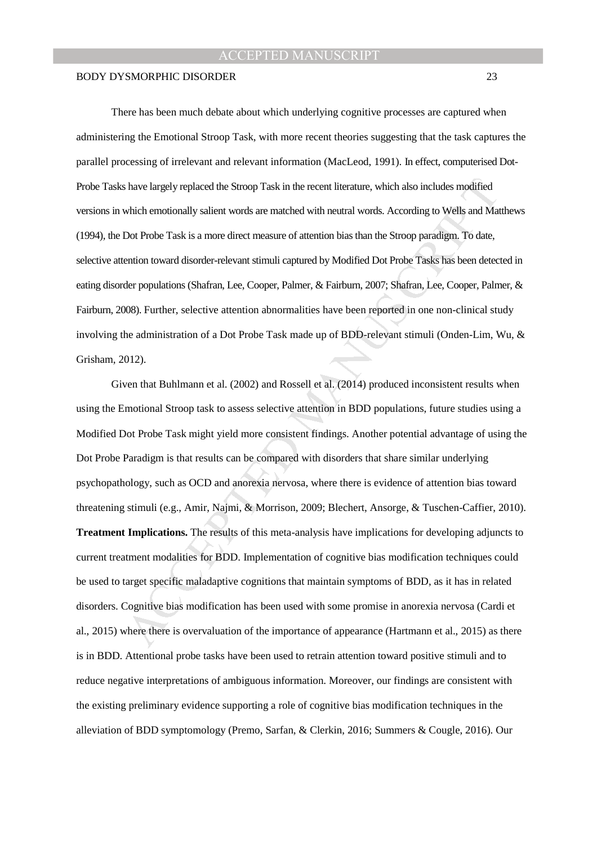There has been much debate about which underlying cognitive processes are captured when administering the Emotional Stroop Task, with more recent theories suggesting that the task captures the parallel processing of irrelevant and relevant information (MacLeod, 1991). In effect, computerised Dot-Probe Tasks have largely replaced the Stroop Task in the recent literature, which also includes modified versions in which emotionally salient words are matched with neutral words. According to Wells and Matthews (1994), the Dot Probe Task is a more direct measure of attention bias than the Stroop paradigm. To date, selective attention toward disorder-relevant stimuli captured by Modified Dot Probe Tasks has been detected in eating disorder populations (Shafran, Lee, Cooper, Palmer, & Fairburn, 2007; Shafran, Lee, Cooper, Palmer, & Fairburn, 2008). Further, selective attention abnormalities have been reported in one non-clinical study involving the administration of a Dot Probe Task made up of BDD-relevant stimuli (Onden-Lim, Wu, & Grisham, 2012).

s have largely replaced the Stroop Task in the recent literature, which also includes modified<br>which emotionally salient words are matched with neutral words. According to Wells and Mat<br>Dot Probe Task is a more direct meas Given that Buhlmann et al. (2002) and Rossell et al. (2014) produced inconsistent results when using the Emotional Stroop task to assess selective attention in BDD populations, future studies using a Modified Dot Probe Task might yield more consistent findings. Another potential advantage of using the Dot Probe Paradigm is that results can be compared with disorders that share similar underlying psychopathology, such as OCD and anorexia nervosa, where there is evidence of attention bias toward threatening stimuli (e.g., Amir, Najmi, & Morrison, 2009; Blechert, Ansorge, & Tuschen-Caffier, 2010). **Treatment Implications.** The results of this meta-analysis have implications for developing adjuncts to current treatment modalities for BDD. Implementation of cognitive bias modification techniques could be used to target specific maladaptive cognitions that maintain symptoms of BDD, as it has in related disorders. Cognitive bias modification has been used with some promise in anorexia nervosa (Cardi et al., 2015) where there is overvaluation of the importance of appearance (Hartmann et al., 2015) as there is in BDD. Attentional probe tasks have been used to retrain attention toward positive stimuli and to reduce negative interpretations of ambiguous information. Moreover, our findings are consistent with the existing preliminary evidence supporting a role of cognitive bias modification techniques in the alleviation of BDD symptomology (Premo, Sarfan, & Clerkin, 2016; Summers & Cougle, 2016). Our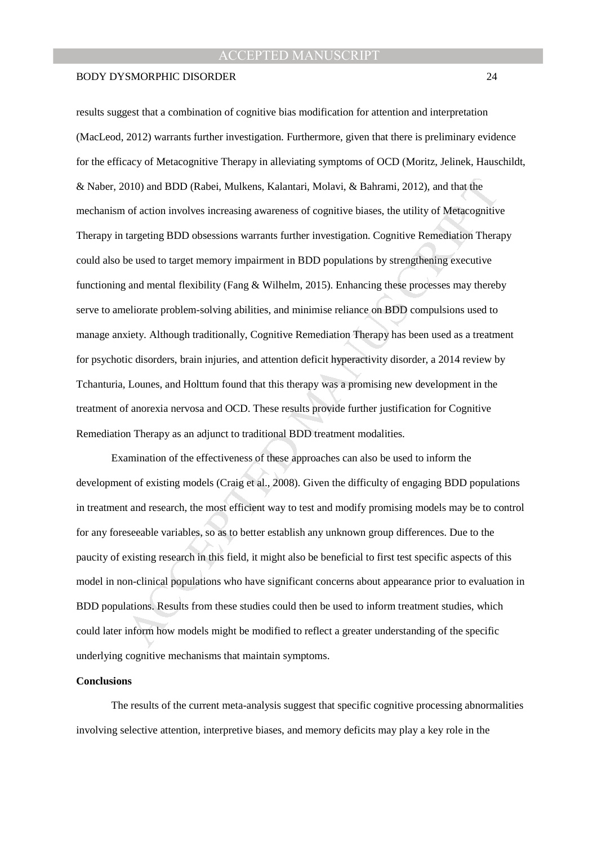### BODY DYSMORPHIC DISORDER 24

010) and BDD (Rabei, Mulkens, Kalantari, Molavi, & Bahrami, 2012), and that the<br>of action involves increasing awareness of cognitive biases, the utility of Metacognitiv<br>targeting BDD obsessions warrants further investigati results suggest that a combination of cognitive bias modification for attention and interpretation (MacLeod, 2012) warrants further investigation. Furthermore, given that there is preliminary evidence for the efficacy of Metacognitive Therapy in alleviating symptoms of OCD (Moritz, Jelinek, Hauschildt, & Naber, 2010) and BDD (Rabei, Mulkens, Kalantari, Molavi, & Bahrami, 2012), and that the mechanism of action involves increasing awareness of cognitive biases, the utility of Metacognitive Therapy in targeting BDD obsessions warrants further investigation. Cognitive Remediation Therapy could also be used to target memory impairment in BDD populations by strengthening executive functioning and mental flexibility (Fang & Wilhelm, 2015). Enhancing these processes may thereby serve to ameliorate problem-solving abilities, and minimise reliance on BDD compulsions used to manage anxiety. Although traditionally, Cognitive Remediation Therapy has been used as a treatment for psychotic disorders, brain injuries, and attention deficit hyperactivity disorder, a 2014 review by Tchanturia, Lounes, and Holttum found that this therapy was a promising new development in the treatment of anorexia nervosa and OCD. These results provide further justification for Cognitive Remediation Therapy as an adjunct to traditional BDD treatment modalities.

Examination of the effectiveness of these approaches can also be used to inform the development of existing models (Craig et al., 2008). Given the difficulty of engaging BDD populations in treatment and research, the most efficient way to test and modify promising models may be to control for any foreseeable variables, so as to better establish any unknown group differences. Due to the paucity of existing research in this field, it might also be beneficial to first test specific aspects of this model in non-clinical populations who have significant concerns about appearance prior to evaluation in BDD populations. Results from these studies could then be used to inform treatment studies, which could later inform how models might be modified to reflect a greater understanding of the specific underlying cognitive mechanisms that maintain symptoms.

## **Conclusions**

The results of the current meta-analysis suggest that specific cognitive processing abnormalities involving selective attention, interpretive biases, and memory deficits may play a key role in the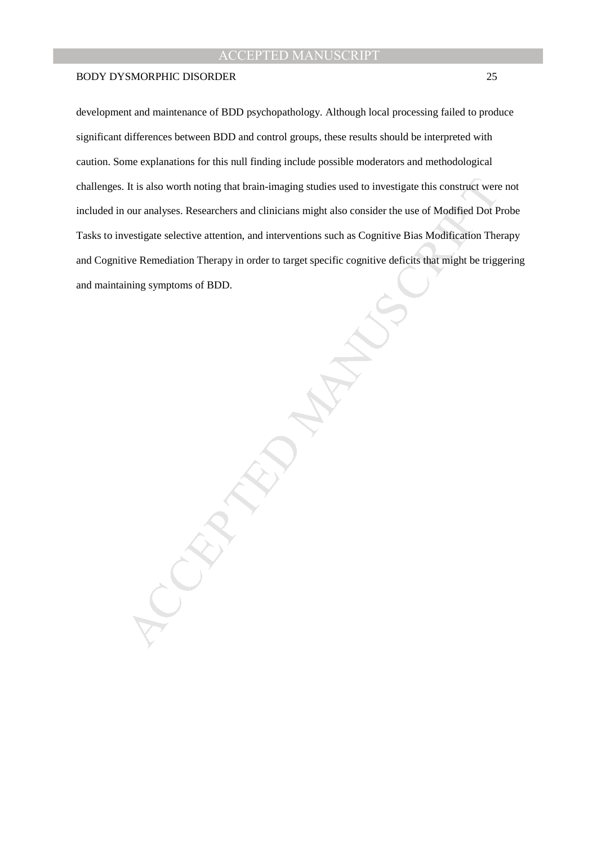It is also worth noting that brain-imaging studies used to investigate this construct were<br>our analyses. Researchers and clinicians might also consider the use of Modified Dot P<br>vestigate selective attention, and intervent development and maintenance of BDD psychopathology. Although local processing failed to produce significant differences between BDD and control groups, these results should be interpreted with caution. Some explanations for this null finding include possible moderators and methodological challenges. It is also worth noting that brain-imaging studies used to investigate this construct were not included in our analyses. Researchers and clinicians might also consider the use of Modified Dot Probe Tasks to investigate selective attention, and interventions such as Cognitive Bias Modification Therapy and Cognitive Remediation Therapy in order to target specific cognitive deficits that might be triggering and maintaining symptoms of BDD.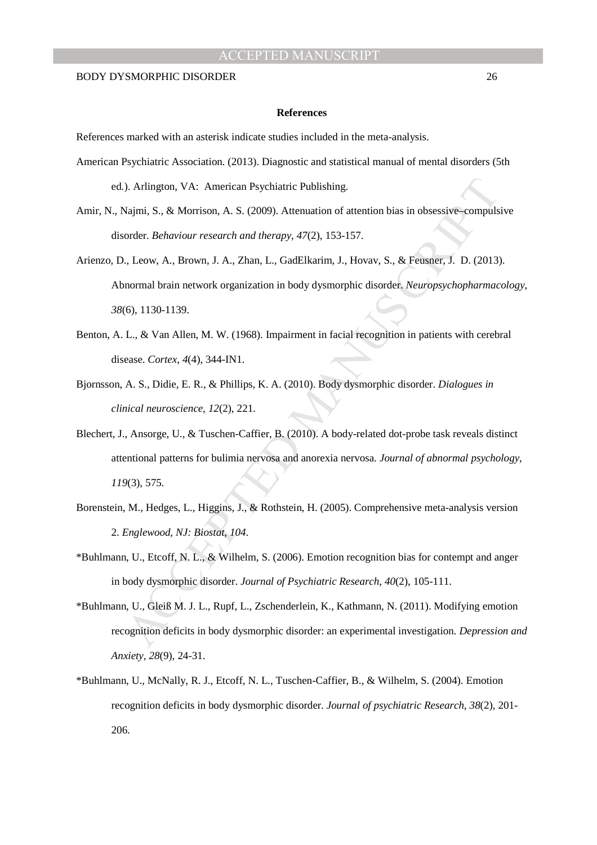#### **References**

References marked with an asterisk indicate studies included in the meta-analysis.

- American Psychiatric Association. (2013). Diagnostic and statistical manual of mental disorders (5th ed.). Arlington, VA: American Psychiatric Publishing.
- Amir, N., Najmi, S., & Morrison, A. S. (2009). Attenuation of attention bias in obsessive–compulsive disorder. *Behaviour research and therapy*, *47*(2), 153-157.
- ). Arlington, VA: American Psychiatric Publishing.<br>Vajmi, S., & Morrison, A. S. (2009). Attenuation of attention bias in obsessive-compuls<br>order. *Behaviour research and therapy*, 47(2), 153-157.<br>
, Leow, A., Brown, J. A. Arienzo, D., Leow, A., Brown, J. A., Zhan, L., GadElkarim, J., Hovav, S., & Feusner, J. D. (2013). Abnormal brain network organization in body dysmorphic disorder. *Neuropsychopharmacology*, *38*(6), 1130-1139.
- Benton, A. L., & Van Allen, M. W. (1968). Impairment in facial recognition in patients with cerebral disease. *Cortex*, *4*(4), 344-IN1.
- Bjornsson, A. S., Didie, E. R., & Phillips, K. A. (2010). Body dysmorphic disorder. *Dialogues in clinical neuroscience*, *12*(2), 221.
- Blechert, J., Ansorge, U., & Tuschen-Caffier, B. (2010). A body-related dot-probe task reveals distinct attentional patterns for bulimia nervosa and anorexia nervosa. *Journal of abnormal psychology*, *119*(3), 575.
- Borenstein, M., Hedges, L., Higgins, J., & Rothstein, H. (2005). Comprehensive meta-analysis version 2. *Englewood, NJ: Biostat*, *104*.
- \*Buhlmann, U., Etcoff, N. L., & Wilhelm, S. (2006). Emotion recognition bias for contempt and anger in body dysmorphic disorder. *Journal of Psychiatric Research*, *40*(2), 105-111.
- \*Buhlmann, U., Gleiß M. J. L., Rupf, L., Zschenderlein, K., Kathmann, N. (2011). Modifying emotion recognition deficits in body dysmorphic disorder: an experimental investigation. *Depression and Anxiety, 28*(9), 24-31.
- \*Buhlmann, U., McNally, R. J., Etcoff, N. L., Tuschen-Caffier, B., & Wilhelm, S. (2004). Emotion recognition deficits in body dysmorphic disorder. *Journal of psychiatric Research*, *38*(2), 201- 206.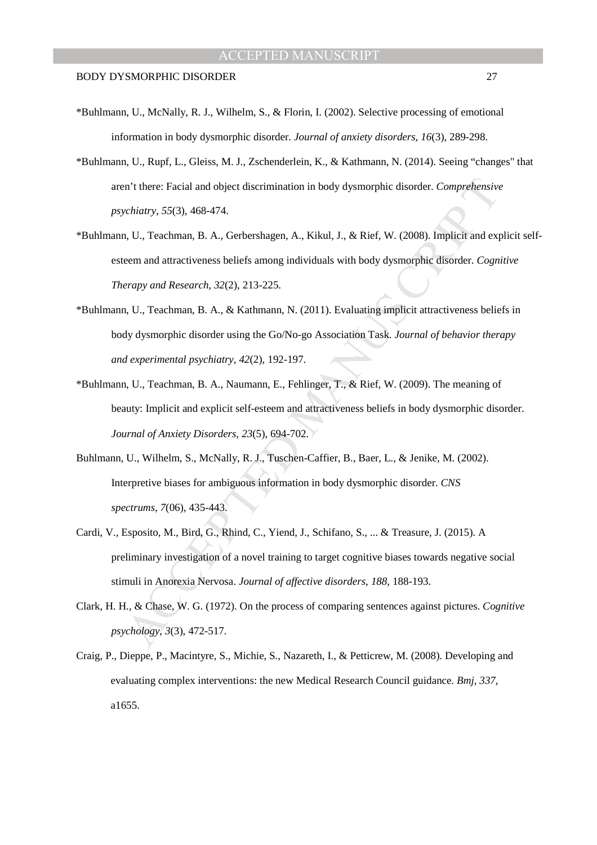- \*Buhlmann, U., McNally, R. J., Wilhelm, S., & Florin, I. (2002). Selective processing of emotional information in body dysmorphic disorder. *Journal of anxiety disorders, 16*(3), 289-298.
- \*Buhlmann, U., Rupf, L., Gleiss, M. J., Zschenderlein, K., & Kathmann, N. (2014). Seeing "changes" that aren't there: Facial and object discrimination in body dysmorphic disorder. *Comprehensive psychiatry*, *55*(3), 468-474.
- \*Buhlmann, U., Teachman, B. A., Gerbershagen, A., Kikul, J., & Rief, W. (2008). Implicit and explicit selfesteem and attractiveness beliefs among individuals with body dysmorphic disorder. *Cognitive Therapy and Research*, *32*(2), 213-225.
- \*Buhlmann, U., Teachman, B. A., & Kathmann, N. (2011). Evaluating implicit attractiveness beliefs in body dysmorphic disorder using the Go/No-go Association Task. *Journal of behavior therapy and experimental psychiatry*, *42*(2), 192-197.
- \*Buhlmann, U., Teachman, B. A., Naumann, E., Fehlinger, T., & Rief, W. (2009). The meaning of beauty: Implicit and explicit self-esteem and attractiveness beliefs in body dysmorphic disorder. *Journal of Anxiety Disorders*, *23*(5), 694-702.
- Buhlmann, U., Wilhelm, S., McNally, R. J., Tuschen-Caffier, B., Baer, L., & Jenike, M. (2002). Interpretive biases for ambiguous information in body dysmorphic disorder. *CNS spectrums*, *7*(06), 435-443.
- m't there: Facial and object discrimination in body dysmorphic disorder. Comprehensive<br>chiatry, 55(3), 468-474.<br>
1, U., Teachman, B. A., Gerbershagen, A., Kikul, J., & Rief, W. (2008). Implicit and experent and attractiven Cardi, V., Esposito, M., Bird, G., Rhind, C., Yiend, J., Schifano, S., ... & Treasure, J. (2015). A preliminary investigation of a novel training to target cognitive biases towards negative social stimuli in Anorexia Nervosa. *Journal of affective disorders*, *188*, 188-193.
- Clark, H. H., & Chase, W. G. (1972). On the process of comparing sentences against pictures. *Cognitive psychology*, *3*(3), 472-517.
- Craig, P., Dieppe, P., Macintyre, S., Michie, S., Nazareth, I., & Petticrew, M. (2008). Developing and evaluating complex interventions: the new Medical Research Council guidance. *Bmj*, *337*, a1655.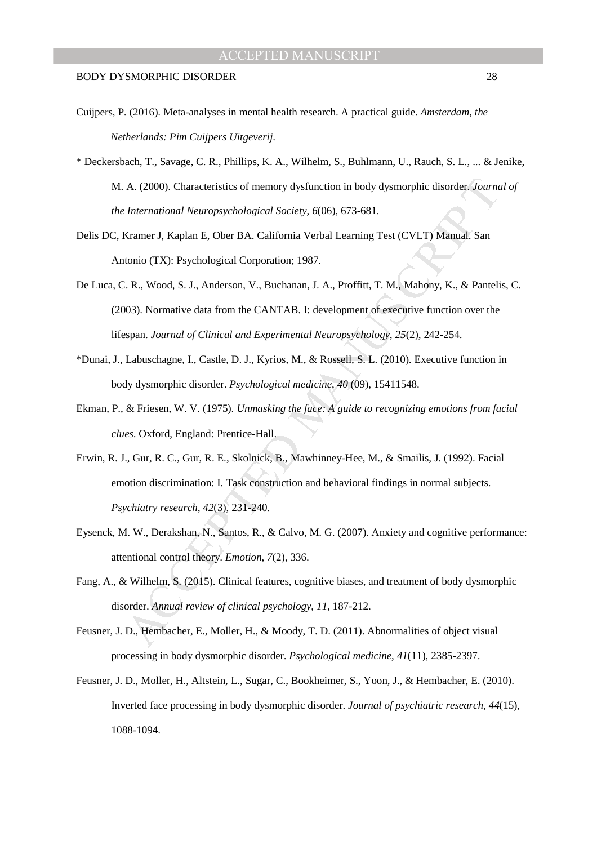- Cuijpers, P. (2016). Meta-analyses in mental health research. A practical guide. *Amsterdam, the Netherlands: Pim Cuijpers Uitgeverij*.
- \* Deckersbach, T., Savage, C. R., Phillips, K. A., Wilhelm, S., Buhlmann, U., Rauch, S. L., ... & Jenike, M. A. (2000). Characteristics of memory dysfunction in body dysmorphic disorder. *Journal of the International Neuropsychological Society*, *6*(06), 673-681.
- Delis DC, Kramer J, Kaplan E, Ober BA. California Verbal Learning Test (CVLT) Manual. San Antonio (TX): Psychological Corporation; 1987.
- De Luca, C. R., Wood, S. J., Anderson, V., Buchanan, J. A., Proffitt, T. M., Mahony, K., & Pantelis, C. (2003). Normative data from the CANTAB. I: development of executive function over the lifespan. *Journal of Clinical and Experimental Neuropsychology*, *25*(2), 242-254.
- \*Dunai, J., Labuschagne, I., Castle, D. J., Kyrios, M., & Rossell, S. L. (2010). Executive function in body dysmorphic disorder. *Psychological medicine*, *40* (09), 15411548.
- Ekman, P., & Friesen, W. V. (1975). *Unmasking the face: A guide to recognizing emotions from facial clues*. Oxford, England: Prentice-Hall.
- A. (2000). Characteristics of memory dysfunction in body dysmorphic disorder. Journal<br>International Neuropsychological Society, 6(06), 673-681.<br>
Kramer J, Kaplan E, Ober BA. California Verbal Learning Test (CVLT) Manual. S Erwin, R. J., Gur, R. C., Gur, R. E., Skolnick, B., Mawhinney-Hee, M., & Smailis, J. (1992). Facial emotion discrimination: I. Task construction and behavioral findings in normal subjects. *Psychiatry research*, *42*(3), 231-240.
- Eysenck, M. W., Derakshan, N., Santos, R., & Calvo, M. G. (2007). Anxiety and cognitive performance: attentional control theory. *Emotion*, *7*(2), 336.
- Fang, A., & Wilhelm, S. (2015). Clinical features, cognitive biases, and treatment of body dysmorphic disorder. *Annual review of clinical psychology*, *11*, 187-212.
- Feusner, J. D., Hembacher, E., Moller, H., & Moody, T. D. (2011). Abnormalities of object visual processing in body dysmorphic disorder. *Psychological medicine*, *41*(11), 2385-2397.
- Feusner, J. D., Moller, H., Altstein, L., Sugar, C., Bookheimer, S., Yoon, J., & Hembacher, E. (2010). Inverted face processing in body dysmorphic disorder. *Journal of psychiatric research*, *44*(15), 1088-1094.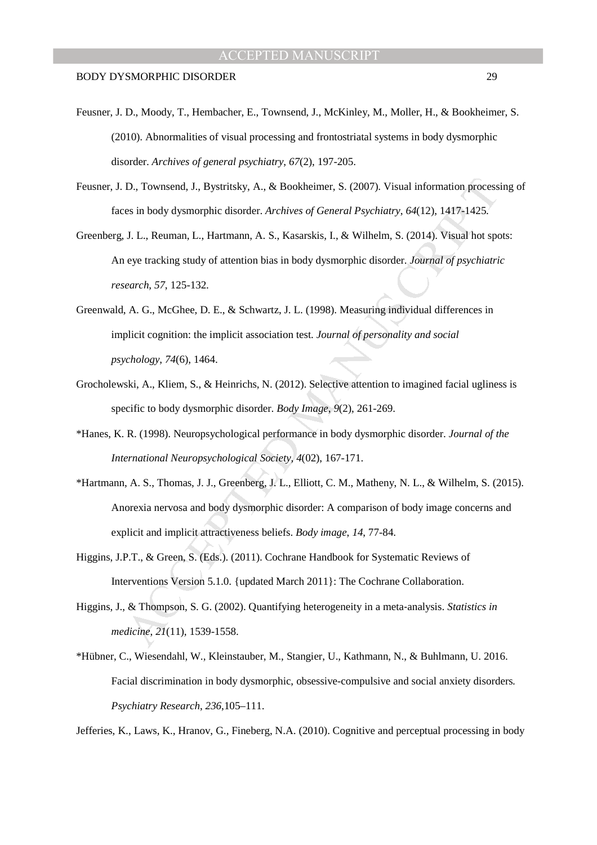- Feusner, J. D., Moody, T., Hembacher, E., Townsend, J., McKinley, M., Moller, H., & Bookheimer, S. (2010). Abnormalities of visual processing and frontostriatal systems in body dysmorphic disorder. *Archives of general psychiatry*, *67*(2), 197-205.
- Feusner, J. D., Townsend, J., Bystritsky, A., & Bookheimer, S. (2007). Visual information processing of faces in body dysmorphic disorder. *Archives of General Psychiatry*, *64*(12), 1417-1425.
- D., Townsend, J., Bystritsky, A., & Bookheimer, S. (2007). Visual information process<br>
es in body dysmorphic disorder. Archives of General Psychiatry, 64(12). 1417-1425.<br>
J. L., Reuman, L., Hartmann, A. S., Kasarskis, I., Greenberg, J. L., Reuman, L., Hartmann, A. S., Kasarskis, I., & Wilhelm, S. (2014). Visual hot spots: An eye tracking study of attention bias in body dysmorphic disorder. *Journal of psychiatric research*, *57*, 125-132.
- Greenwald, A. G., McGhee, D. E., & Schwartz, J. L. (1998). Measuring individual differences in implicit cognition: the implicit association test. *Journal of personality and social psychology*, *74*(6), 1464.
- Grocholewski, A., Kliem, S., & Heinrichs, N. (2012). Selective attention to imagined facial ugliness is specific to body dysmorphic disorder. *Body Image*, *9*(2), 261-269.
- \*Hanes, K. R. (1998). Neuropsychological performance in body dysmorphic disorder. *Journal of the International Neuropsychological Society*, *4*(02), 167-171.
- \*Hartmann, A. S., Thomas, J. J., Greenberg, J. L., Elliott, C. M., Matheny, N. L., & Wilhelm, S. (2015). Anorexia nervosa and body dysmorphic disorder: A comparison of body image concerns and explicit and implicit attractiveness beliefs. *Body image*, *14*, 77-84.
- Higgins, J.P.T., & Green, S. (Eds.). (2011). Cochrane Handbook for Systematic Reviews of Interventions Version 5.1.0. {updated March 2011}: The Cochrane Collaboration.
- Higgins, J., & Thompson, S. G. (2002). Quantifying heterogeneity in a meta‐analysis. *Statistics in medicine*, *21*(11), 1539-1558.
- \*Hübner, C., Wiesendahl, W., Kleinstauber, M., Stangier, U., Kathmann, N., & Buhlmann, U. 2016. Facial discrimination in body dysmorphic, obsessive-compulsive and social anxiety disorders*. Psychiatry Research*, *236*,105–111.

Jefferies, K., Laws, K., Hranov, G., Fineberg, N.A. (2010). Cognitive and perceptual processing in body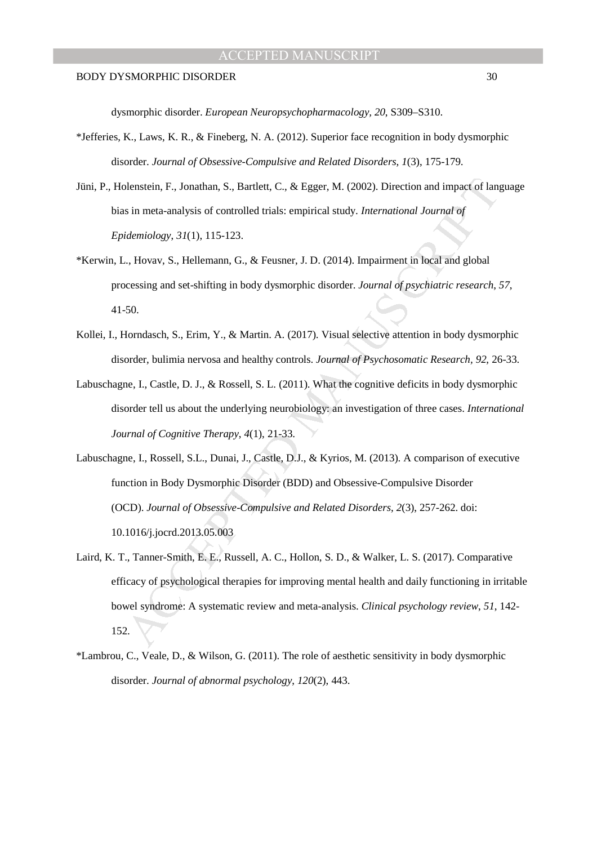dysmorphic disorder. *European Neuropsychopharmacology, 20*, S309–S310.

- \*Jefferies, K., Laws, K. R., & Fineberg, N. A. (2012). Superior face recognition in body dysmorphic disorder. *Journal of Obsessive-Compulsive and Related Disorders, 1*(3), 175-179.
- Jüni, P., Holenstein, F., Jonathan, S., Bartlett, C., & Egger, M. (2002). Direction and impact of language bias in meta-analysis of controlled trials: empirical study. *International Journal of Epidemiology*, *31*(1), 115-123.
- \*Kerwin, L., Hovav, S., Hellemann, G., & Feusner, J. D. (2014). Impairment in local and global processing and set-shifting in body dysmorphic disorder. *Journal of psychiatric research*, *57*, 41-50.
- Kollei, I., Horndasch, S., Erim, Y., & Martin. A. (2017). Visual selective attention in body dysmorphic disorder, bulimia nervosa and healthy controls. *Journal of Psychosomatic Research, 92*, 26-33.
- Labuschagne, I., Castle, D. J., & Rossell, S. L. (2011). What the cognitive deficits in body dysmorphic disorder tell us about the underlying neurobiology: an investigation of three cases. *International Journal of Cognitive Therapy*, *4*(1), 21-33.
- blenstein, F., Jonathan, S., Bartlett, C., & Egger, M. (2002). Direction and impact of languation in meta-analysis of controlled trials: empirical study. *International Journal of idemiology*, 31(1), 115-123.<br>
... Hovav, Labuschagne, I., Rossell, S.L., Dunai, J., Castle, D.J., & Kyrios, M. (2013). A comparison of executive function in Body Dysmorphic Disorder (BDD) and Obsessive-Compulsive Disorder (OCD). *Journal of Obsessive-Compulsive and Related Disorders, 2*(3), 257-262. doi: 10.1016/j.jocrd.2013.05.003
- Laird, K. T., Tanner-Smith, E. E., Russell, A. C., Hollon, S. D., & Walker, L. S. (2017). Comparative efficacy of psychological therapies for improving mental health and daily functioning in irritable bowel syndrome: A systematic review and meta-analysis. *Clinical psychology review*, *51*, 142- 152.
- \*Lambrou, C., Veale, D., & Wilson, G. (2011). The role of aesthetic sensitivity in body dysmorphic disorder. *Journal of abnormal psychology*, *120*(2), 443.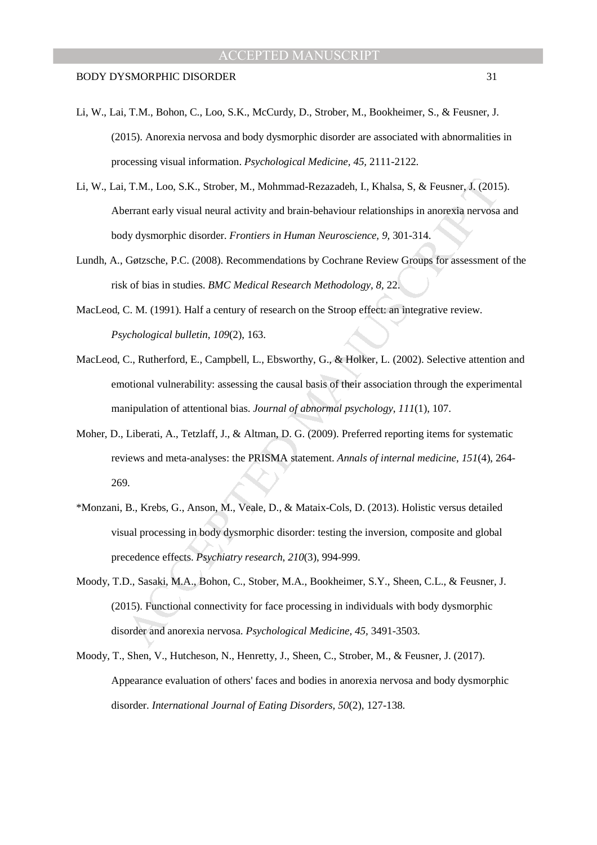- Li, W., Lai, T.M., Bohon, C., Loo, S.K., McCurdy, D., Strober, M., Bookheimer, S., & Feusner, J. (2015). Anorexia nervosa and body dysmorphic disorder are associated with abnormalities in processing visual information. *Psychological Medicine, 45,* 2111-2122.
- Li, W., Lai, T.M., Loo, S.K., Strober, M., Mohmmad-Rezazadeh, I., Khalsa, S, & Feusner, J. (2015). Aberrant early visual neural activity and brain-behaviour relationships in anorexia nervosa and body dysmorphic disorder. *Frontiers in Human Neuroscience, 9,* 301-314.
- Lundh, A., Gøtzsche, P.C. (2008). Recommendations by Cochrane Review Groups for assessment of the risk of bias in studies. *BMC Medical Research Methodology, 8,* 22.
- MacLeod, C. M. (1991). Half a century of research on the Stroop effect: an integrative review. *Psychological bulletin*, *109*(2), 163.
- MacLeod, C., Rutherford, E., Campbell, L., Ebsworthy, G., & Holker, L. (2002). Selective attention and emotional vulnerability: assessing the causal basis of their association through the experimental manipulation of attentional bias. *Journal of abnormal psychology*, *111*(1), 107.
- Moher, D., Liberati, A., Tetzlaff, J., & Altman, D. G. (2009). Preferred reporting items for systematic reviews and meta-analyses: the PRISMA statement. *Annals of internal medicine*, *151*(4), 264- 269.
- \*Monzani, B., Krebs, G., Anson, M., Veale, D., & Mataix-Cols, D. (2013). Holistic versus detailed visual processing in body dysmorphic disorder: testing the inversion, composite and global precedence effects. *Psychiatry research*, *210*(3), 994-999.
- , T.M., Loo, S.K., Strober, M., Mohmmad-Rezazadeh, I., Khalsa, S, & Feusner, J. (2013)<br>
errant early visual neural activity and brain-behaviour relationships in anorexia nervosa<br>
dy dysmorphic disorder. *Frontiers in Human* Moody, T.D., Sasaki, M.A., Bohon, C., Stober, M.A., Bookheimer, S.Y., Sheen, C.L., & Feusner, J. (2015). Functional connectivity for face processing in individuals with body dysmorphic disorder and anorexia nervosa. *Psychological Medicine, 45,* 3491-3503.
- Moody, T., Shen, V., Hutcheson, N., Henretty, J., Sheen, C., Strober, M., & Feusner, J. (2017). Appearance evaluation of others' faces and bodies in anorexia nervosa and body dysmorphic disorder. *International Journal of Eating Disorders, 50*(2), 127-138.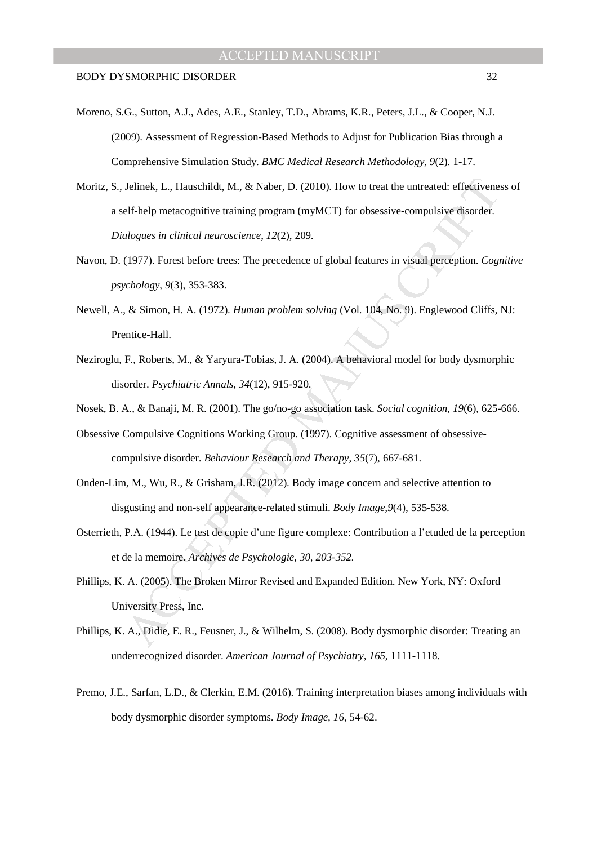- Moreno, S.G., Sutton, A.J., Ades, A.E., Stanley, T.D., Abrams, K.R., Peters, J.L., & Cooper, N.J. (2009). Assessment of Regression-Based Methods to Adjust for Publication Bias through a Comprehensive Simulation Study. *BMC Medical Research Methodology, 9*(2). 1-17.
- Jelinek, L., Hauschildt, M., & Naber, D. (2010). How to treat the untreated: effectivene<br>elf-help metacognitive training program (myMCT) for obsessive-compulsive disorder.<br>alogues in clinical neuroscience, 12(2), 209.<br>(197 Moritz, S., Jelinek, L., Hauschildt, M., & Naber, D. (2010). How to treat the untreated: effectiveness of a self-help metacognitive training program (myMCT) for obsessive-compulsive disorder. *Dialogues in clinical neuroscience*, *12*(2), 209.
- Navon, D. (1977). Forest before trees: The precedence of global features in visual perception. *Cognitive psychology*, *9*(3), 353-383.
- Newell, A., & Simon, H. A. (1972). *Human problem solving* (Vol. 104, No. 9). Englewood Cliffs, NJ: Prentice-Hall.
- Neziroglu, F., Roberts, M., & Yaryura-Tobias, J. A. (2004). A behavioral model for body dysmorphic disorder. *Psychiatric Annals*, *34*(12), 915-920.
- Nosek, B. A., & Banaji, M. R. (2001). The go/no-go association task. *Social cognition, 19*(6), 625-666.
- Obsessive Compulsive Cognitions Working Group. (1997). Cognitive assessment of obsessivecompulsive disorder. *Behaviour Research and Therapy*, *35*(7), 667-681.
- Onden-Lim, M., Wu, R., & Grisham, J.R. (2012). Body image concern and selective attention to disgusting and non-self appearance-related stimuli. *Body Image,9*(4), 535-538.
- Osterrieth, P.A. (1944). Le test de copie d'une figure complexe: Contribution a l'etuded de la perception et de la memoire. *Archives de Psychologie, 30, 203-352.*
- Phillips, K. A. (2005). The Broken Mirror Revised and Expanded Edition. New York, NY: Oxford University Press, Inc.
- Phillips, K. A., Didie, E. R., Feusner, J., & Wilhelm, S. (2008). Body dysmorphic disorder: Treating an underrecognized disorder. *American Journal of Psychiatry, 165*, 1111-1118.
- Premo, J.E., Sarfan, L.D., & Clerkin, E.M. (2016). Training interpretation biases among individuals with body dysmorphic disorder symptoms. *Body Image, 16*, 54-62.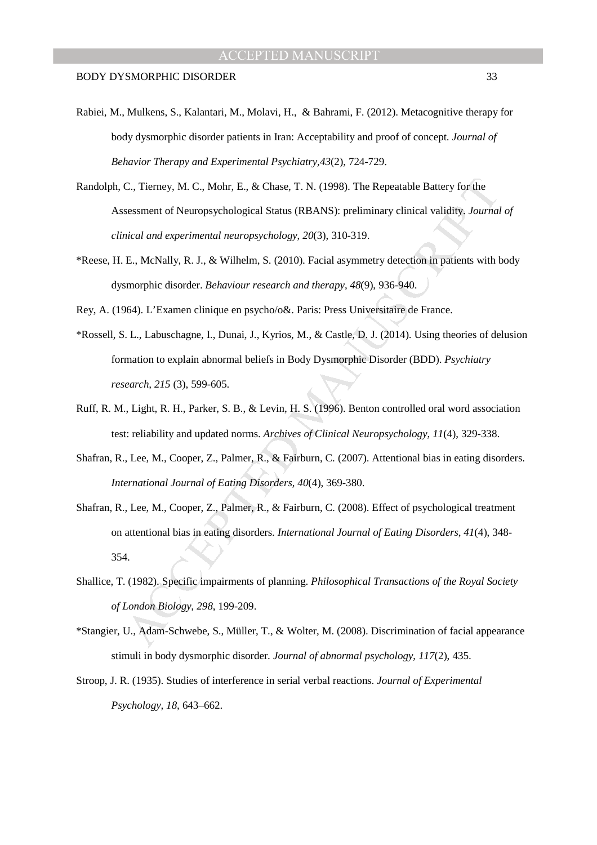- Rabiei, M., Mulkens, S., Kalantari, M., Molavi, H., & Bahrami, F. (2012). Metacognitive therapy for body dysmorphic disorder patients in Iran: Acceptability and proof of concept. *Journal of Behavior Therapy and Experimental Psychiatry,43*(2), 724-729.
- Randolph, C., Tierney, M. C., Mohr, E., & Chase, T. N. (1998). The Repeatable Battery for the Assessment of Neuropsychological Status (RBANS): preliminary clinical validity. *Journal of clinical and experimental neuropsychology*, *20*(3), 310-319.
- \*Reese, H. E., McNally, R. J., & Wilhelm, S. (2010). Facial asymmetry detection in patients with body dysmorphic disorder. *Behaviour research and therapy*, *48*(9), 936-940.

Rey, A. (1964). L'Examen clinique en psycho/o&. Paris: Press Universitaire de France.

- C., Tierney, M. C., Mohr, E., & Chase, T. N. (1998). The Repeatable Battery for the<br>sessment of Neuropsychological Status (RBANS): preliminary clinical validity, *Journal*<br>nical and experimental neuropsychology, 20(3), 310 \*Rossell, S. L., Labuschagne, I., Dunai, J., Kyrios, M., & Castle, D. J. (2014). Using theories of delusion formation to explain abnormal beliefs in Body Dysmorphic Disorder (BDD). *Psychiatry research, 215* (3), 599-605.
- Ruff, R. M., Light, R. H., Parker, S. B., & Levin, H. S. (1996). Benton controlled oral word association test: reliability and updated norms. *Archives of Clinical Neuropsychology*, *11*(4), 329-338.
- Shafran, R., Lee, M., Cooper, Z., Palmer, R., & Fairburn, C. (2007). Attentional bias in eating disorders. *International Journal of Eating Disorders, 40*(4), 369-380.
- Shafran, R., Lee, M., Cooper, Z., Palmer, R., & Fairburn, C. (2008). Effect of psychological treatment on attentional bias in eating disorders. *International Journal of Eating Disorders, 41*(4), 348- 354.
- Shallice, T. (1982). Specific impairments of planning. *Philosophical Transactions of the Royal Society of London Biology, 298*, 199-209.
- \*Stangier, U., Adam-Schwebe, S., Müller, T., & Wolter, M. (2008). Discrimination of facial appearance stimuli in body dysmorphic disorder. *Journal of abnormal psychology*, *117*(2), 435.
- Stroop, J. R. (1935). Studies of interference in serial verbal reactions. *Journal of Experimental Psychology, 18,* 643–662.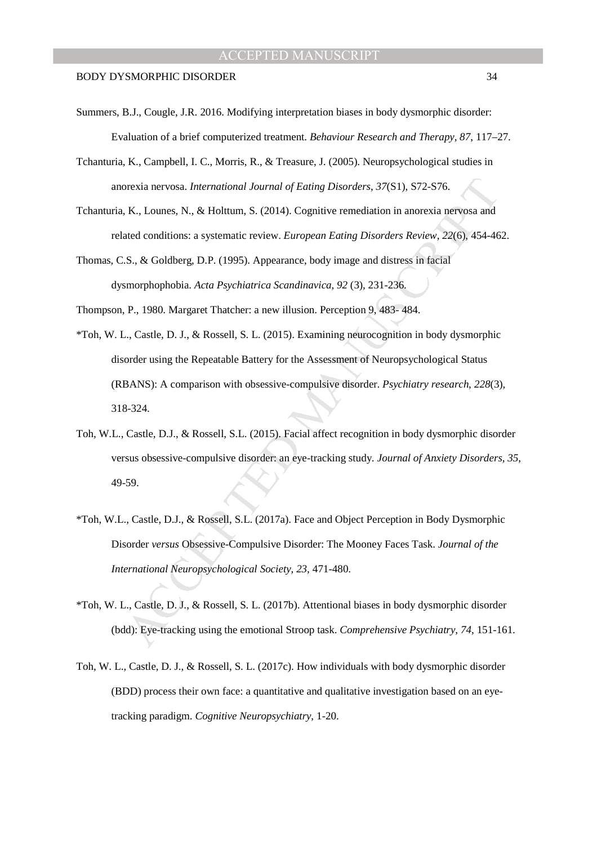- Summers, B.J., Cougle, J.R. 2016. Modifying interpretation biases in body dysmorphic disorder: Evaluation of a brief computerized treatment. *Behaviour Research and Therapy, 87*, 117–27.
- Tchanturia, K., Campbell, I. C., Morris, R., & Treasure, J. (2005). Neuropsychological studies in anorexia nervosa. *International Journal of Eating Disorders*, *37*(S1), S72-S76.
- Tchanturia, K., Lounes, N., & Holttum, S. (2014). Cognitive remediation in anorexia nervosa and related conditions: a systematic review. *European Eating Disorders Review*, *22*(6), 454-462.
- Thomas, C.S., & Goldberg, D.P. (1995). Appearance, body image and distress in facial dysmorphophobia. *Acta Psychiatrica Scandinavica, 92* (3), 231-236.
- Thompson, P., 1980. Margaret Thatcher: a new illusion. Perception 9, 483- 484.
- orexia nervosa. *International Journal of Fating Disorders*, 37(S1), S72-S76.<br> **K.**, Lounes, N., & Holttum, S. (2014). Cognitive remediation in anorexia nervosa and<br>
ated conditions: a systematic review. *European Eating D* \*Toh, W. L., Castle, D. J., & Rossell, S. L. (2015). Examining neurocognition in body dysmorphic disorder using the Repeatable Battery for the Assessment of Neuropsychological Status (RBANS): A comparison with obsessive-compulsive disorder. *Psychiatry research*, *228*(3), 318-324.
- Toh, W.L., Castle, D.J., & Rossell, S.L. (2015). Facial affect recognition in body dysmorphic disorder versus obsessive-compulsive disorder: an eye-tracking study. *Journal of Anxiety Disorders, 35*, 49-59.
- \*Toh, W.L., Castle, D.J., & Rossell, S.L. (2017a). Face and Object Perception in Body Dysmorphic Disorder *versus* Obsessive-Compulsive Disorder: The Mooney Faces Task. *Journal of the International Neuropsychological Society, 23,* 471-480.
- \*Toh, W. L., Castle, D. J., & Rossell, S. L. (2017b). Attentional biases in body dysmorphic disorder (bdd): Eye-tracking using the emotional Stroop task. *Comprehensive Psychiatry*, *74*, 151-161.
- Toh, W. L., Castle, D. J., & Rossell, S. L. (2017c). How individuals with body dysmorphic disorder (BDD) process their own face: a quantitative and qualitative investigation based on an eyetracking paradigm. *Cognitive Neuropsychiatry*, 1-20.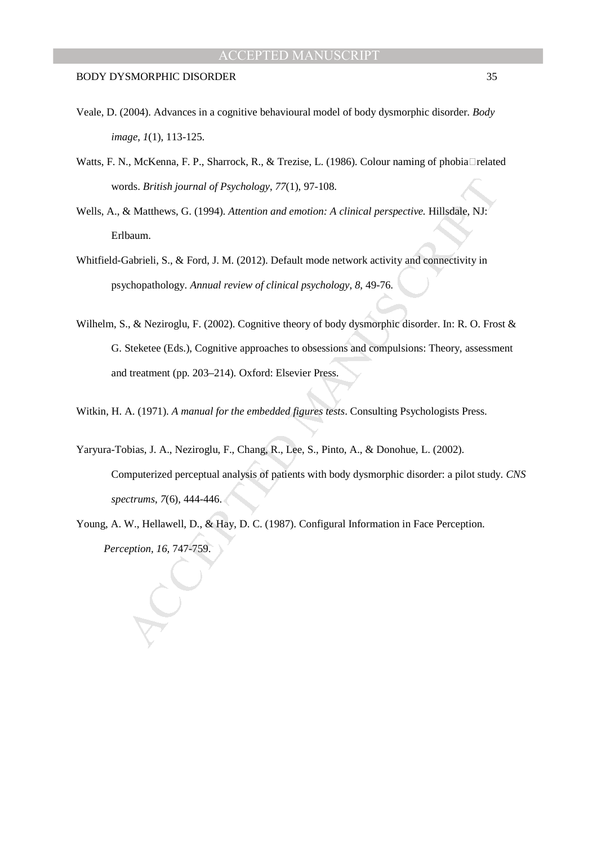- Veale, D. (2004). Advances in a cognitive behavioural model of body dysmorphic disorder. *Body image*, *1*(1), 113-125.
- Watts, F. N., McKenna, F. P., Sharrock, R., & Trezise, L. (1986). Colour naming of phobia related words. *British journal of Psychology*, *77*(1), 97-108.
- Wells, A., & Matthews, G. (1994). *Attention and emotion: A clinical perspective.* Hillsdale, NJ: Erlbaum.
- Whitfield-Gabrieli, S., & Ford, J. M. (2012). Default mode network activity and connectivity in psychopathology. *Annual review of clinical psychology*, *8*, 49-76.
- rds. *British journal of Psychology*, 77(1), 97-108.<br>
& Matthews, G. (1994). *Attention and emotion: A clinical perspective*. Hillsdale, NJ:<br>
baum.<br>
Clabrieli, S., & Ford, J. M. (2012). Default mode network activity and co Wilhelm, S., & Neziroglu, F. (2002). Cognitive theory of body dysmorphic disorder. In: R. O. Frost & G. Steketee (Eds.), Cognitive approaches to obsessions and compulsions: Theory, assessment and treatment (pp. 203–214). Oxford: Elsevier Press.
- Witkin, H. A. (1971). *A manual for the embedded figures tests*. Consulting Psychologists Press.
- Yaryura-Tobias, J. A., Neziroglu, F., Chang, R., Lee, S., Pinto, A., & Donohue, L. (2002). Computerized perceptual analysis of patients with body dysmorphic disorder: a pilot study. *CNS spectrums*, *7*(6), 444-446.
- Young, A. W., Hellawell, D., & Hay, D. C. (1987). Configural Information in Face Perception. *Perception, 16,* 747-759.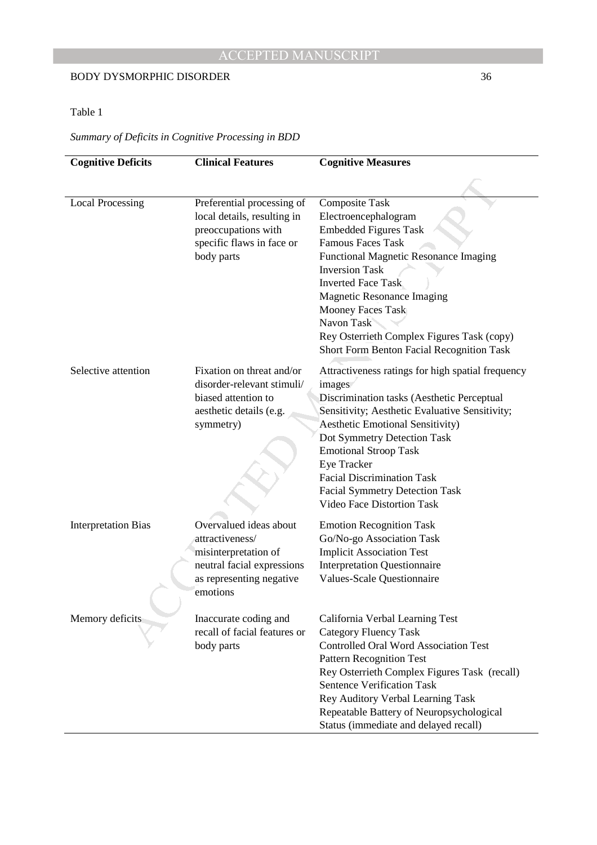## BODY DYSMORPHIC DISORDER 36

## Table 1

## *Summary of Deficits in Cognitive Processing in BDD*

| <b>Cognitive Deficits</b>  | <b>Clinical Features</b>                                                                                                                | <b>Cognitive Measures</b>                                                                                                                                                                                                                                                                                                                                                                 |
|----------------------------|-----------------------------------------------------------------------------------------------------------------------------------------|-------------------------------------------------------------------------------------------------------------------------------------------------------------------------------------------------------------------------------------------------------------------------------------------------------------------------------------------------------------------------------------------|
|                            |                                                                                                                                         |                                                                                                                                                                                                                                                                                                                                                                                           |
| <b>Local Processing</b>    | Preferential processing of<br>local details, resulting in<br>preoccupations with<br>specific flaws in face or<br>body parts             | Composite Task<br>Electroencephalogram<br><b>Embedded Figures Task</b><br><b>Famous Faces Task</b><br>Functional Magnetic Resonance Imaging<br><b>Inversion Task</b><br><b>Inverted Face Task</b><br><b>Magnetic Resonance Imaging</b><br>Mooney Faces Task<br>Navon Task<br>Rey Osterrieth Complex Figures Task (copy)<br><b>Short Form Benton Facial Recognition Task</b>               |
| Selective attention        | Fixation on threat and/or<br>disorder-relevant stimuli/<br>biased attention to<br>aesthetic details (e.g.<br>symmetry)                  | Attractiveness ratings for high spatial frequency<br>images<br>Discrimination tasks (Aesthetic Perceptual<br>Sensitivity; Aesthetic Evaluative Sensitivity;<br>Aesthetic Emotional Sensitivity)<br>Dot Symmetry Detection Task<br><b>Emotional Stroop Task</b><br>Eye Tracker<br><b>Facial Discrimination Task</b><br><b>Facial Symmetry Detection Task</b><br>Video Face Distortion Task |
| <b>Interpretation Bias</b> | Overvalued ideas about<br>attractiveness/<br>misinterpretation of<br>neutral facial expressions<br>as representing negative<br>emotions | <b>Emotion Recognition Task</b><br>Go/No-go Association Task<br><b>Implicit Association Test</b><br><b>Interpretation Questionnaire</b><br>Values-Scale Questionnaire                                                                                                                                                                                                                     |
| Memory deficits            | Inaccurate coding and<br>recall of facial features or<br>body parts                                                                     | California Verbal Learning Test<br><b>Category Fluency Task</b><br><b>Controlled Oral Word Association Test</b><br><b>Pattern Recognition Test</b><br>Rey Osterrieth Complex Figures Task (recall)<br><b>Sentence Verification Task</b><br>Rey Auditory Verbal Learning Task<br>Repeatable Battery of Neuropsychological<br>Status (immediate and delayed recall)                         |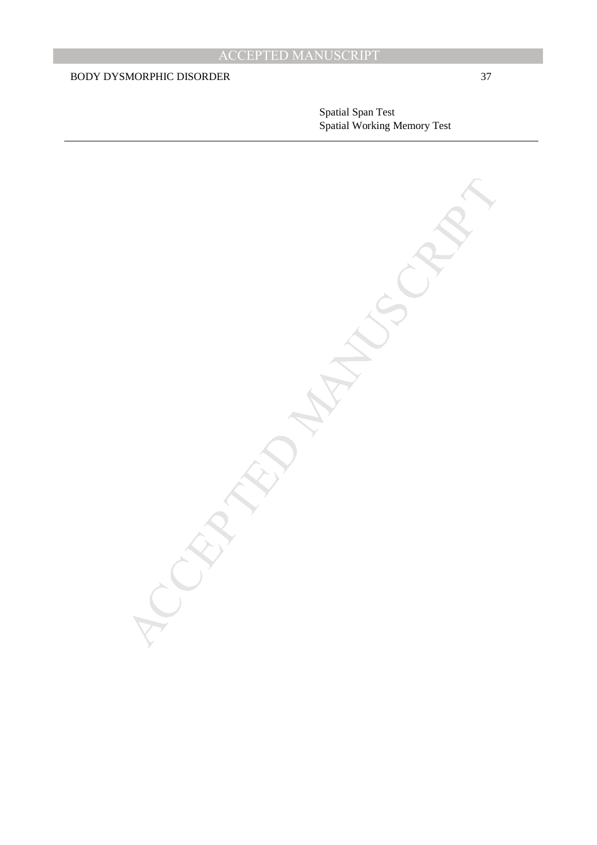Spatial Span Test Spatial Working Memory Test

MANUSCRIPT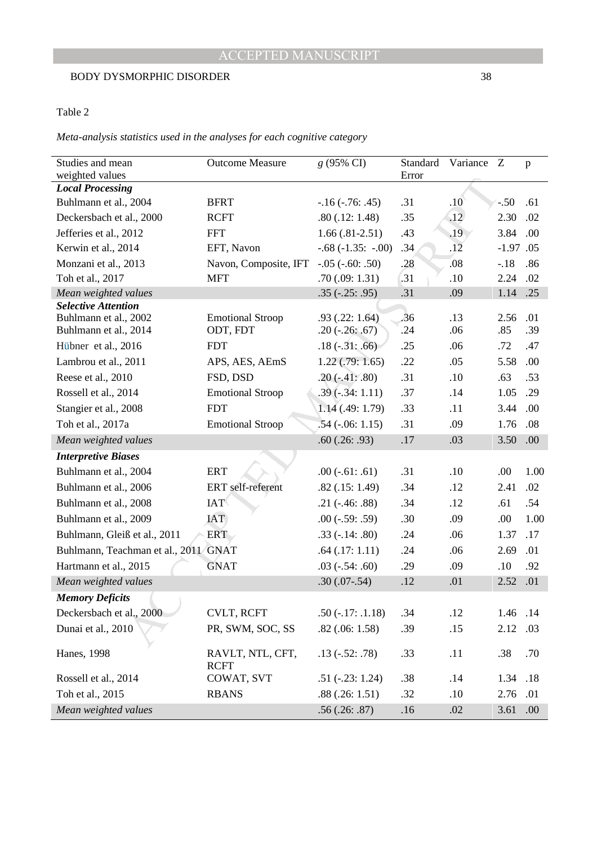## Table 2

## *Meta-analysis statistics used in the analyses for each cognitive category*

| Studies and mean                               | <b>Outcome Measure</b>              | g (95% CI)                             | Standard | Variance         | Z           | p    |
|------------------------------------------------|-------------------------------------|----------------------------------------|----------|------------------|-------------|------|
| weighted values                                |                                     |                                        | Error    |                  |             |      |
| <b>Local Processing</b>                        |                                     |                                        |          |                  |             |      |
| Buhlmann et al., 2004                          | <b>BFRT</b>                         | $-16$ $(-.76: .45)$                    | .31      | .10              | $-.50$      | .61  |
| Deckersbach et al., 2000                       | <b>RCFT</b>                         | .80(.12:1.48)                          | .35      | $\overline{.12}$ | 2.30        | .02  |
| Jefferies et al., 2012                         | <b>FFT</b>                          | $1.66(.81-2.51)$                       | .43      | .19              | 3.84        | .00. |
| Kerwin et al., 2014                            | EFT, Navon                          | $-.68(-1.35:-.00)$                     | .34      | .12              | $-1.97$ .05 |      |
| Monzani et al., 2013                           | Navon, Composite, IFT               | $-.05 (-60:.50)$                       | .28      | .08              | $-.18$      | .86  |
| Toh et al., 2017                               | MFT                                 | .70(.09:1.31)                          | .31      | .10              | 2.24        | .02  |
| Mean weighted values                           |                                     | $.35(-.25: .95)$                       | .31      | .09              | 1.14        | .25  |
| <b>Selective Attention</b>                     |                                     |                                        | .36      | .13              | 2.56        | .01  |
| Buhlmann et al., 2002<br>Buhlmann et al., 2014 | <b>Emotional Stroop</b><br>ODT, FDT | .93(.22:1.64)<br>$.20$ ( $-.26$ : .67) | .24      | .06              | .85         | .39  |
| Hübner et al., 2016                            | <b>FDT</b>                          | $.18(-.31:.66)$                        | .25      | .06              | .72         | .47  |
| Lambrou et al., 2011                           | APS, AES, AEmS                      | $1.22$ (.79: 1.65)                     | .22      | .05              | 5.58        | .00  |
| Reese et al., 2010                             | FSD, DSD                            | $.20(-.41:.80)$                        | .31      | .10              | .63         | .53  |
| Rossell et al., 2014                           | <b>Emotional Stroop</b>             | $.39(-.34:1.11)$                       | .37      | .14              | 1.05        | .29  |
| Stangier et al., 2008                          | <b>FDT</b>                          | 1.14(.49:1.79)                         | .33      | .11              | 3.44        | .00  |
| Toh et al., 2017a                              | <b>Emotional Stroop</b>             | $.54$ ( $-.06:1.15$ )                  | .31      | .09              | 1.76        | .08  |
| Mean weighted values                           |                                     | .60(.26:.93)                           | .17      | .03              | 3.50        | .00. |
| <b>Interpretive Biases</b>                     |                                     |                                        |          |                  |             |      |
| Buhlmann et al., 2004                          | <b>ERT</b>                          | $.00$ ( $-.61$ : .61)                  | .31      | .10              | .00         | 1.00 |
| Buhlmann et al., 2006                          | ERT self-referent                   | .82(.15:1.49)                          | .34      | .12              | 2.41        | .02  |
| Buhlmann et al., 2008                          | <b>IAT</b>                          | $.21$ ( $-.46$ : $.88$ )               | .34      | .12              | .61         | .54  |
| Buhlmann et al., 2009                          | <b>IAT</b>                          | $.00$ ( $-.59$ : .59)                  | .30      | .09              | .00         | 1.00 |
| Buhlmann, Gleiß et al., 2011                   | <b>ERT</b>                          | $.33(-.14:.80)$                        | .24      | .06              | 1.37        | .17  |
| Buhlmann, Teachman et al., 2011/GNAT           |                                     | $.64$ $(.17:1.11)$                     | .24      | .06              | 2.69        | .01  |
| Hartmann et al., 2015                          | <b>GNAT</b>                         | $.03$ ( $-.54$ : .60)                  | .29      | .09              | .10         | .92  |
| Mean weighted values                           |                                     | $.30(.07-.54)$                         | .12      | .01              | 2.52        | .01  |
| <b>Memory Deficits</b>                         |                                     |                                        |          |                  |             |      |
| Deckersbach et al., 2000                       | <b>CVLT, RCFT</b>                   | $.50(-.17:.1.18)$                      | .34      | .12              | 1.46 .14    |      |
| Dunai et al., 2010                             | PR, SWM, SOC, SS                    | .82(.06:1.58)                          | .39      | .15              | 2.12        | .03  |
|                                                |                                     |                                        |          |                  |             |      |
| Hanes, 1998                                    | RAVLT, NTL, CFT,<br><b>RCFT</b>     | $.13$ ( $-.52$ : .78)                  | .33      | .11              | .38         | .70  |
| Rossell et al., 2014                           | COWAT, SVT                          | $.51$ ( $-.23$ : 1.24)                 | .38      | .14              | 1.34        | .18  |
| Toh et al., 2015                               | <b>RBANS</b>                        | .88(.26:1.51)                          | .32      | .10              | 2.76        | .01  |
| Mean weighted values                           |                                     | .56(.26:.87)                           | .16      | .02              | 3.61        | .00. |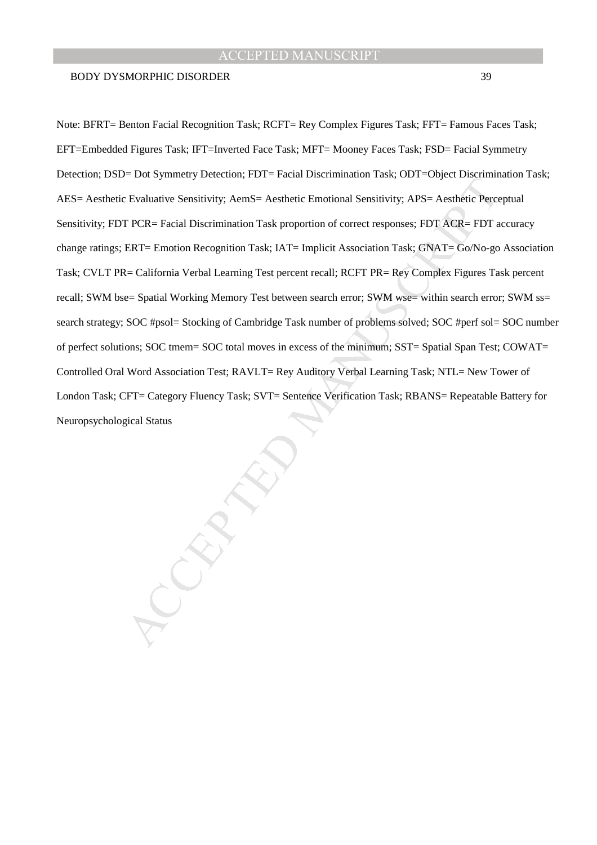## BODY DYSMORPHIC DISORDER 39

E Evaluative Sensitivity; AemS= Aesthetic Entonional Sensitivity; APS= Aesthetic Pepcer-<br>
Fivaluative Sensitivity; AemS= Aesthetic Entonional Sensitivity; APS= Aesthetic Pepcer<br>
FICR= Facial Discrimination Task; IAT= Impli Note: BFRT= Benton Facial Recognition Task; RCFT= Rey Complex Figures Task; FFT= Famous Faces Task; EFT=Embedded Figures Task; IFT=Inverted Face Task; MFT= Mooney Faces Task; FSD= Facial Symmetry Detection; DSD= Dot Symmetry Detection; FDT= Facial Discrimination Task; ODT=Object Discrimination Task; AES= Aesthetic Evaluative Sensitivity; AemS= Aesthetic Emotional Sensitivity; APS= Aesthetic Perceptual Sensitivity; FDT PCR= Facial Discrimination Task proportion of correct responses; FDT ACR= FDT accuracy change ratings; ERT= Emotion Recognition Task; IAT= Implicit Association Task; GNAT= Go/No-go Association Task; CVLT PR= California Verbal Learning Test percent recall; RCFT PR= Rey Complex Figures Task percent recall; SWM bse= Spatial Working Memory Test between search error; SWM wse= within search error; SWM ss= search strategy; SOC #psol= Stocking of Cambridge Task number of problems solved; SOC #perf sol= SOC number of perfect solutions; SOC tmem= SOC total moves in excess of the minimum; SST= Spatial Span Test; COWAT= Controlled Oral Word Association Test; RAVLT= Rey Auditory Verbal Learning Task; NTL= New Tower of London Task; CFT= Category Fluency Task; SVT= Sentence Verification Task; RBANS= Repeatable Battery for Neuropsychological Status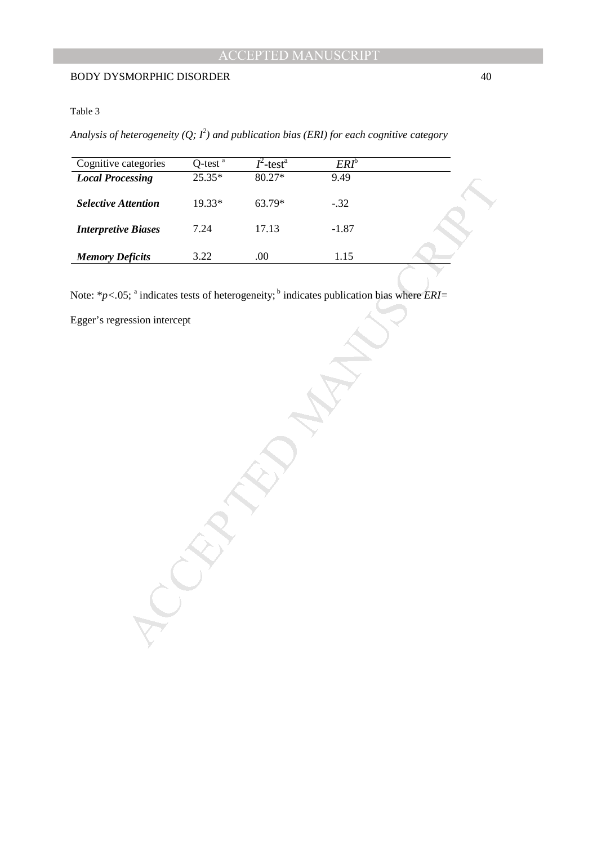## Table 3

*Analysis of heterogeneity (Q; I<sup>2</sup> ) and publication bias (ERI) for each cognitive category* 

| Cognitive categories                                                                                                                                           | $Q$ -test $a$ | $I^2$ -test <sup>a</sup> | $ERI^b$ |  |
|----------------------------------------------------------------------------------------------------------------------------------------------------------------|---------------|--------------------------|---------|--|
| <b>Local Processing</b>                                                                                                                                        | $25.35*$      | $80.27*$                 | 9.49    |  |
| <b>Selective Attention</b>                                                                                                                                     | 19.33*        | 63.79*                   | $-.32$  |  |
| <b>Interpretive Biases</b>                                                                                                                                     | 7.24          | 17.13                    | $-1.87$ |  |
| <b>Memory Deficits</b>                                                                                                                                         | 3.22          | $.00\,$                  | $1.15$  |  |
| Note: $*_{p<0.05}$ ; <sup>a</sup> indicates tests of heterogeneity; <sup>b</sup> indicates publication bias where <i>ERI</i> =<br>Egger's regression intercept |               |                          |         |  |
|                                                                                                                                                                |               |                          |         |  |
|                                                                                                                                                                |               |                          |         |  |
|                                                                                                                                                                |               |                          |         |  |
|                                                                                                                                                                |               |                          |         |  |
|                                                                                                                                                                |               |                          |         |  |
|                                                                                                                                                                |               |                          |         |  |
|                                                                                                                                                                |               |                          |         |  |
|                                                                                                                                                                |               |                          |         |  |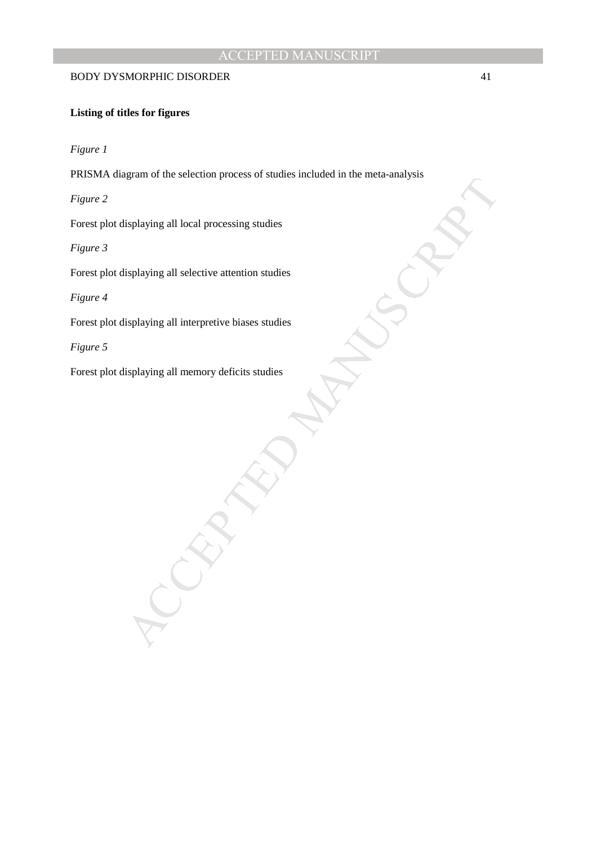## BODY DYSMORPHIC DISORDER 41

## **Listing of titles for figures**

*Figure 1* 

PRISMA diagram of the selection process of studies included in the meta-analysis

*Figure 2* 

Forest plot displaying all local processing studies

*Figure 3* 

Forest plot displaying all selective attention studies

*Figure 4* 

MANUSCRIPT ACCEPTED Forest plot displaying all interpretive biases studies

*Figure 5* 

Forest plot displaying all memory deficits studies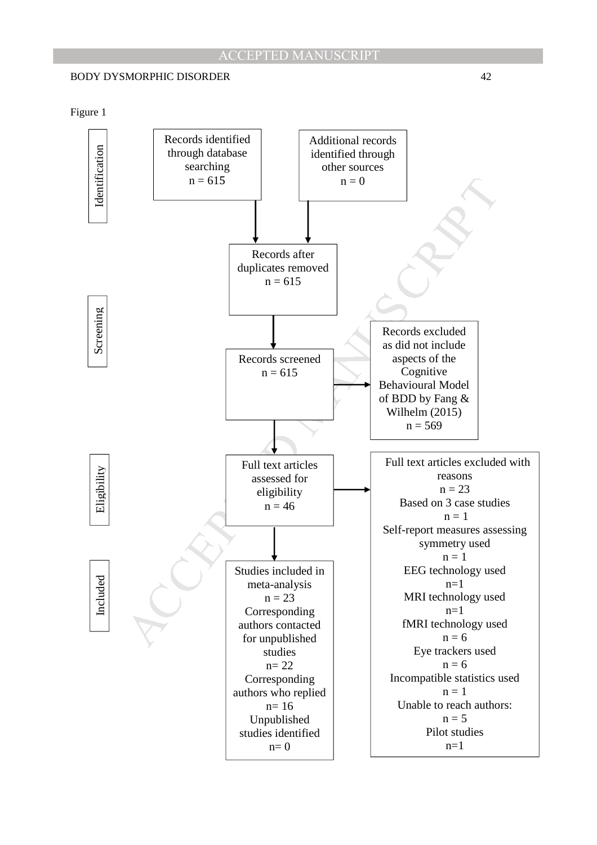

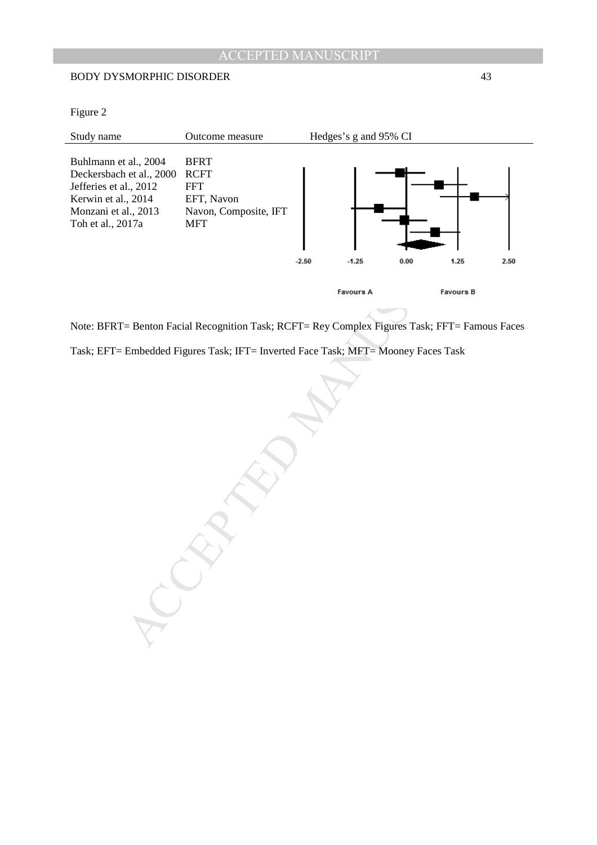## BODY DYSMORPHIC DISORDER 43

Figure 2

| Study name                                                                                                                                      | Outcome measure                                                                               |         | Hedges's g and 95% CI |      |                  |      |
|-------------------------------------------------------------------------------------------------------------------------------------------------|-----------------------------------------------------------------------------------------------|---------|-----------------------|------|------------------|------|
| Buhlmann et al., 2004<br>Deckersbach et al., 2000<br>Jefferies et al., 2012<br>Kerwin et al., 2014<br>Monzani et al., 2013<br>Toh et al., 2017a | <b>BFRT</b><br><b>RCFT</b><br><b>FFT</b><br>EFT, Navon<br>Navon, Composite, IFT<br><b>MFT</b> |         |                       |      |                  |      |
|                                                                                                                                                 |                                                                                               | $-2.50$ | $-1.25$               | 0.00 | 1.25             | 2.50 |
|                                                                                                                                                 |                                                                                               |         | <b>Favours A</b>      |      | <b>Favours B</b> |      |

Note: BFRT= Benton Facial Recognition Task; RCFT= Rey Complex Figures Task; FFT= Famous Faces Task; EFT= Embedded Figures Task; IFT= Inverted Face Task; MFT= Mooney Faces Task

MANUSCRIPT ACCEPTED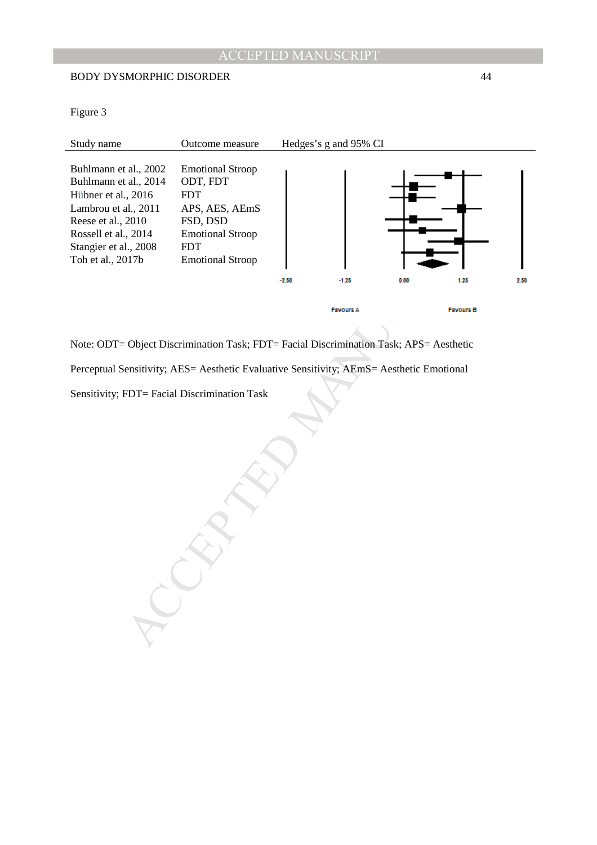## BODY DYSMORPHIC DISORDER 44

Figure 3

| Study name                                                                                                                                                                                | Outcome measure                                                                                                                                     |         | Hedges's g and 95% CI |      |                  |      |
|-------------------------------------------------------------------------------------------------------------------------------------------------------------------------------------------|-----------------------------------------------------------------------------------------------------------------------------------------------------|---------|-----------------------|------|------------------|------|
| Buhlmann et al., 2002<br>Buhlmann et al., 2014<br>Hübner et al., 2016<br>Lambrou et al., 2011<br>Reese et al., 2010<br>Rossell et al., 2014<br>Stangier et al., 2008<br>Toh et al., 2017b | <b>Emotional Stroop</b><br>ODT, FDT<br><b>FDT</b><br>APS, AES, AEmS<br>FSD, DSD<br><b>Emotional Stroop</b><br><b>FDT</b><br><b>Emotional Stroop</b> |         |                       |      |                  |      |
|                                                                                                                                                                                           |                                                                                                                                                     | $-2.50$ | $-1.25$               | 0.00 | 1.25             | 2.50 |
|                                                                                                                                                                                           |                                                                                                                                                     |         | <b>Favours A</b>      |      | <b>Favours B</b> |      |

Note: ODT= Object Discrimination Task; FDT= Facial Discrimination Task; APS= Aesthetic

Perceptual Sensitivity; AES= Aesthetic Evaluative Sensitivity; AEmS= Aesthetic Emotional

MANUSCRIPT ACCEPTED

Sensitivity; FDT= Facial Discrimination Task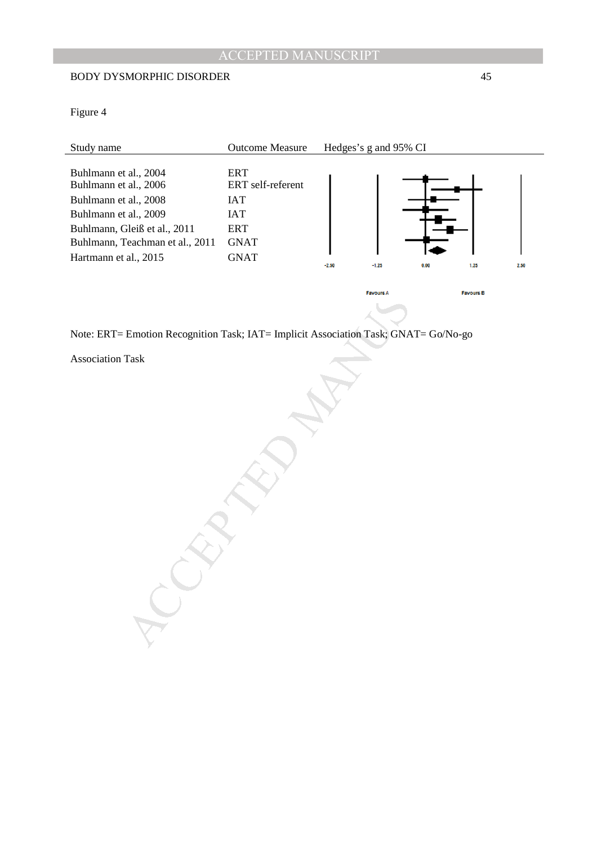## BODY DYSMORPHIC DISORDER 45

Figure 4

| Study name                                                                                                                                                                                   | Outcome Measure                                                                                  |         | Hedges's g and 95% CI |                  |
|----------------------------------------------------------------------------------------------------------------------------------------------------------------------------------------------|--------------------------------------------------------------------------------------------------|---------|-----------------------|------------------|
| Buhlmann et al., 2004<br>Buhlmann et al., 2006<br>Buhlmann et al., 2008<br>Buhlmann et al., 2009<br>Buhlmann, Gleiß et al., 2011<br>Buhlmann, Teachman et al., 2011<br>Hartmann et al., 2015 | <b>ERT</b><br>ERT self-referent<br><b>IAT</b><br><b>IAT</b><br>ERT<br><b>GNAT</b><br><b>GNAT</b> | $-2.50$ | $-1.25$<br>0.00       | 1.25<br>2.50     |
|                                                                                                                                                                                              |                                                                                                  |         | <b>Favours A</b>      | <b>Favours B</b> |
|                                                                                                                                                                                              |                                                                                                  |         |                       |                  |
| Note: ERT= Emotion Recognition Task; IAT= Implicit Association Task; GNAT= Go/No-go                                                                                                          |                                                                                                  |         |                       |                  |
| <b>Association Task</b>                                                                                                                                                                      |                                                                                                  |         |                       |                  |
|                                                                                                                                                                                              |                                                                                                  |         |                       |                  |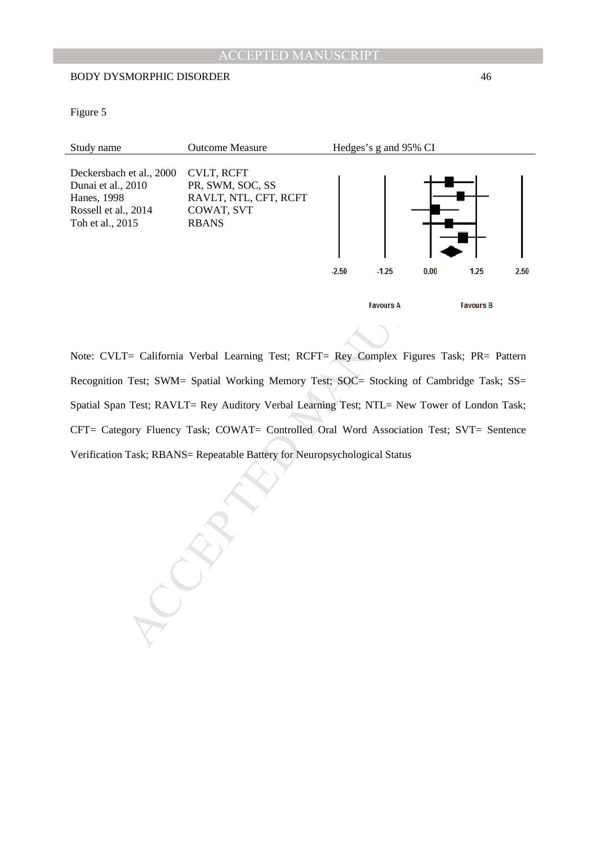## BODY DYSMORPHIC DISORDER 46

Figure 5



Note: CVLT= California Verbal Learning Test; RCFT= Rey Complex Figures Task; PR= Pattern Recognition Test; SWM= Spatial Working Memory Test; SOC= Stocking of Cambridge Task; SS= Spatial Span Test; RAVLT= Rey Auditory Verbal Learning Test; NTL= New Tower of London Task; CFT= Category Fluency Task; COWAT= Controlled Oral Word Association Test; SVT= Sentence Verification Task; RBANS= Repeatable Battery for Neuropsychological Status